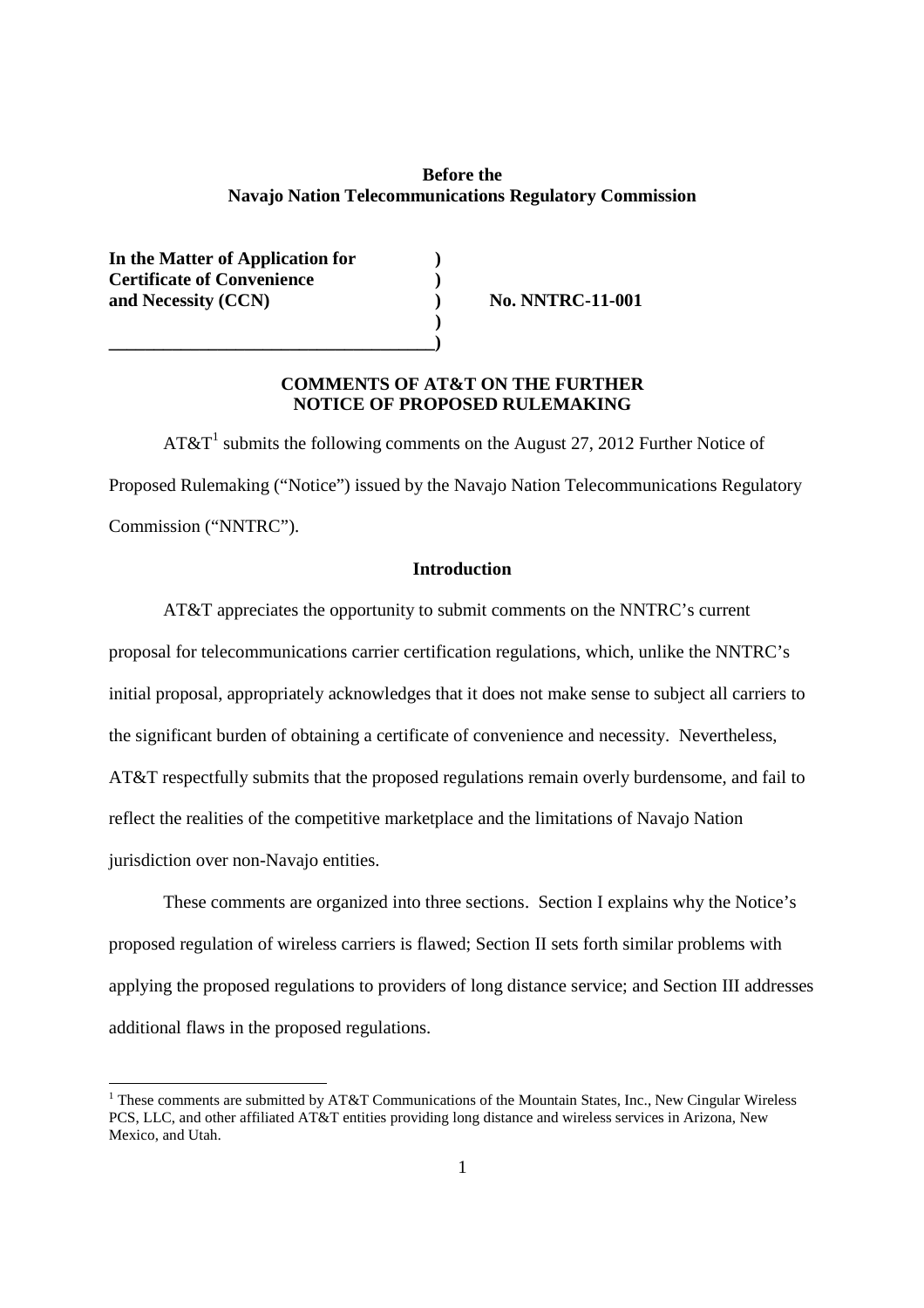#### **Before the Navajo Nation Telecommunications Regulatory Commission**

**In the Matter of Application for ) Certificate of Convenience ) and Necessity (CCN)** (*CCN*) No. NNTRC-11-001

**\_\_\_\_\_\_\_\_\_\_\_\_\_\_\_\_\_\_\_\_\_\_\_\_\_\_\_\_\_\_\_\_\_\_\_\_)**

### **COMMENTS OF AT&T ON THE FURTHER NOTICE OF PROPOSED RULEMAKING**

**)**

 $AT&T^1$  submits the following comments on the August 27, 2012 Further Notice of Proposed Rulemaking ("Notice") issued by the Navajo Nation Telecommunications Regulatory Commission ("NNTRC").

### **Introduction**

AT&T appreciates the opportunity to submit comments on the NNTRC's current proposal for telecommunications carrier certification regulations, which, unlike the NNTRC's initial proposal, appropriately acknowledges that it does not make sense to subject all carriers to the significant burden of obtaining a certificate of convenience and necessity. Nevertheless, AT&T respectfully submits that the proposed regulations remain overly burdensome, and fail to reflect the realities of the competitive marketplace and the limitations of Navajo Nation jurisdiction over non-Navajo entities.

These comments are organized into three sections. Section I explains why the Notice's proposed regulation of wireless carriers is flawed; Section II sets forth similar problems with applying the proposed regulations to providers of long distance service; and Section III addresses additional flaws in the proposed regulations.

<sup>&</sup>lt;sup>1</sup> These comments are submitted by AT&T Communications of the Mountain States, Inc., New Cingular Wireless PCS, LLC, and other affiliated AT&T entities providing long distance and wireless services in Arizona, New Mexico, and Utah.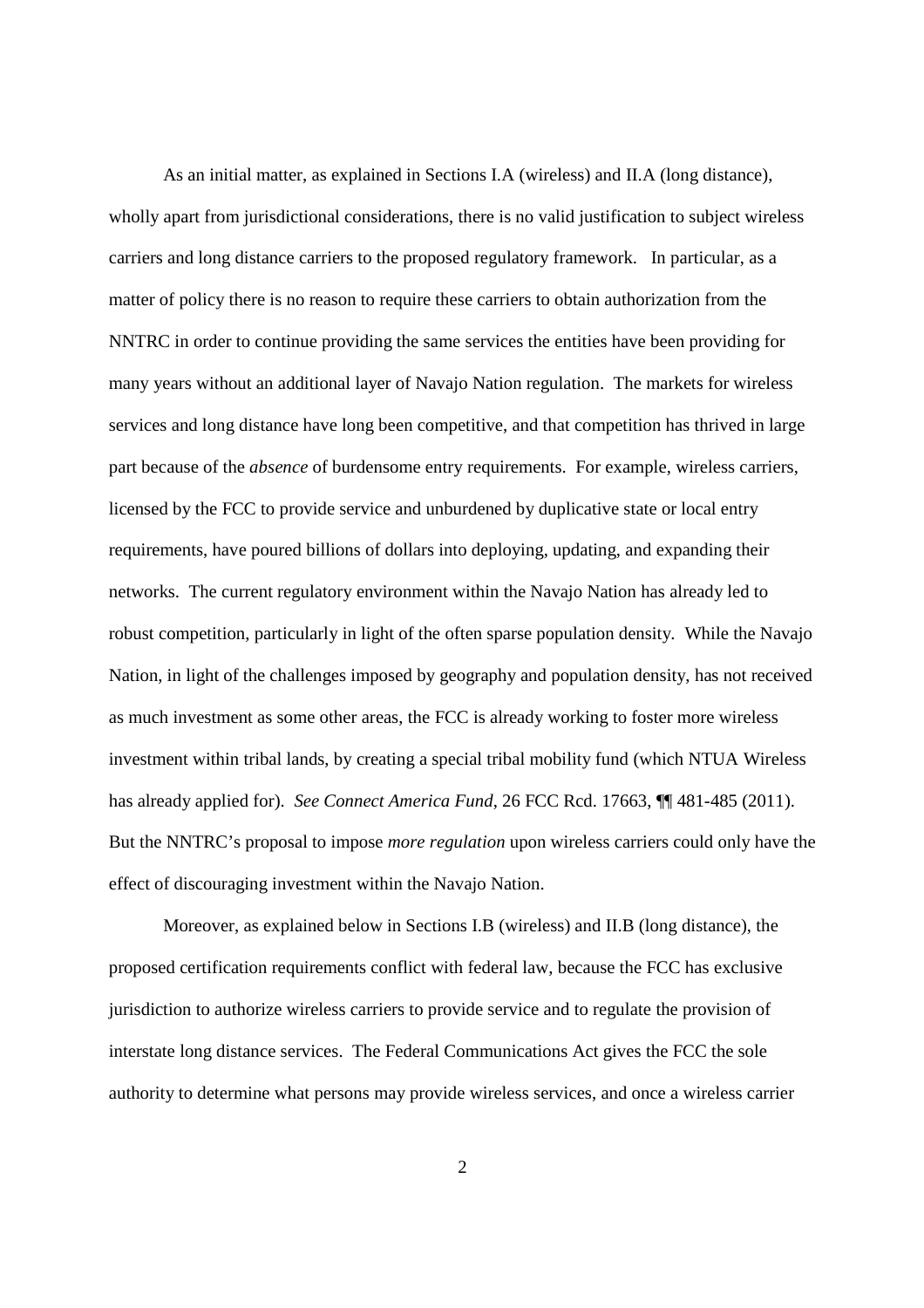As an initial matter, as explained in Sections I.A (wireless) and II.A (long distance), wholly apart from jurisdictional considerations, there is no valid justification to subject wireless carriers and long distance carriers to the proposed regulatory framework. In particular, as a matter of policy there is no reason to require these carriers to obtain authorization from the NNTRC in order to continue providing the same services the entities have been providing for many years without an additional layer of Navajo Nation regulation. The markets for wireless services and long distance have long been competitive, and that competition has thrived in large part because of the *absence* of burdensome entry requirements. For example, wireless carriers, licensed by the FCC to provide service and unburdened by duplicative state or local entry requirements, have poured billions of dollars into deploying, updating, and expanding their networks. The current regulatory environment within the Navajo Nation has already led to robust competition, particularly in light of the often sparse population density. While the Navajo Nation, in light of the challenges imposed by geography and population density, has not received as much investment as some other areas, the FCC is already working to foster more wireless investment within tribal lands, by creating a special tribal mobility fund (which NTUA Wireless has already applied for). *See Connect America Fund*, 26 FCC Rcd. 17663, **[14** 481-485 (2011). But the NNTRC's proposal to impose *more regulation* upon wireless carriers could only have the effect of discouraging investment within the Navajo Nation.

Moreover, as explained below in Sections I.B (wireless) and II.B (long distance), the proposed certification requirements conflict with federal law, because the FCC has exclusive jurisdiction to authorize wireless carriers to provide service and to regulate the provision of interstate long distance services. The Federal Communications Act gives the FCC the sole authority to determine what persons may provide wireless services, and once a wireless carrier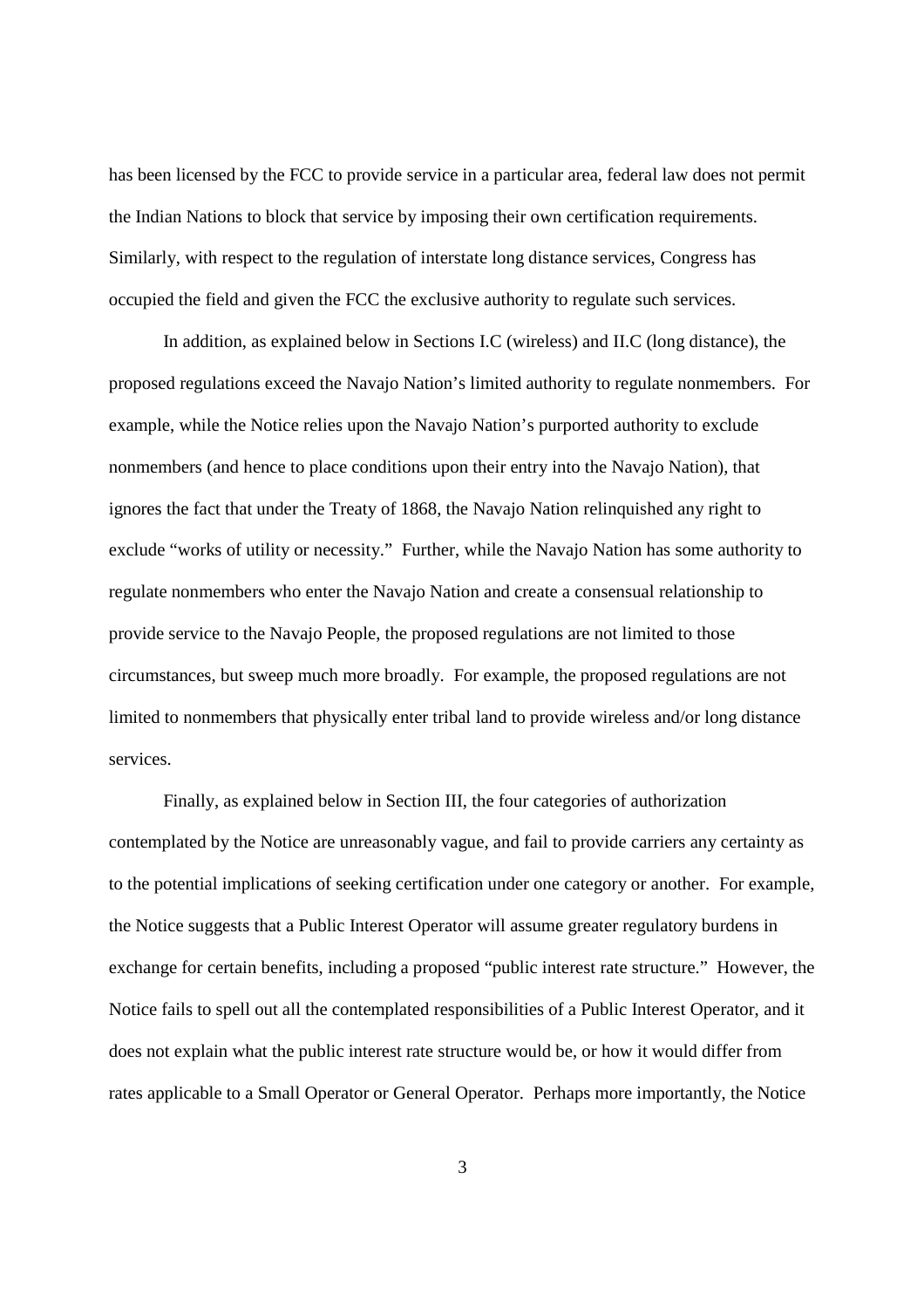has been licensed by the FCC to provide service in a particular area, federal law does not permit the Indian Nations to block that service by imposing their own certification requirements. Similarly, with respect to the regulation of interstate long distance services, Congress has occupied the field and given the FCC the exclusive authority to regulate such services.

In addition, as explained below in Sections I.C (wireless) and II.C (long distance), the proposed regulations exceed the Navajo Nation's limited authority to regulate nonmembers. For example, while the Notice relies upon the Navajo Nation's purported authority to exclude nonmembers (and hence to place conditions upon their entry into the Navajo Nation), that ignores the fact that under the Treaty of 1868, the Navajo Nation relinquished any right to exclude "works of utility or necessity." Further, while the Navajo Nation has some authority to regulate nonmembers who enter the Navajo Nation and create a consensual relationship to provide service to the Navajo People, the proposed regulations are not limited to those circumstances, but sweep much more broadly. For example, the proposed regulations are not limited to nonmembers that physically enter tribal land to provide wireless and/or long distance services.

Finally, as explained below in Section III, the four categories of authorization contemplated by the Notice are unreasonably vague, and fail to provide carriers any certainty as to the potential implications of seeking certification under one category or another. For example, the Notice suggests that a Public Interest Operator will assume greater regulatory burdens in exchange for certain benefits, including a proposed "public interest rate structure." However, the Notice fails to spell out all the contemplated responsibilities of a Public Interest Operator, and it does not explain what the public interest rate structure would be, or how it would differ from rates applicable to a Small Operator or General Operator. Perhaps more importantly, the Notice

3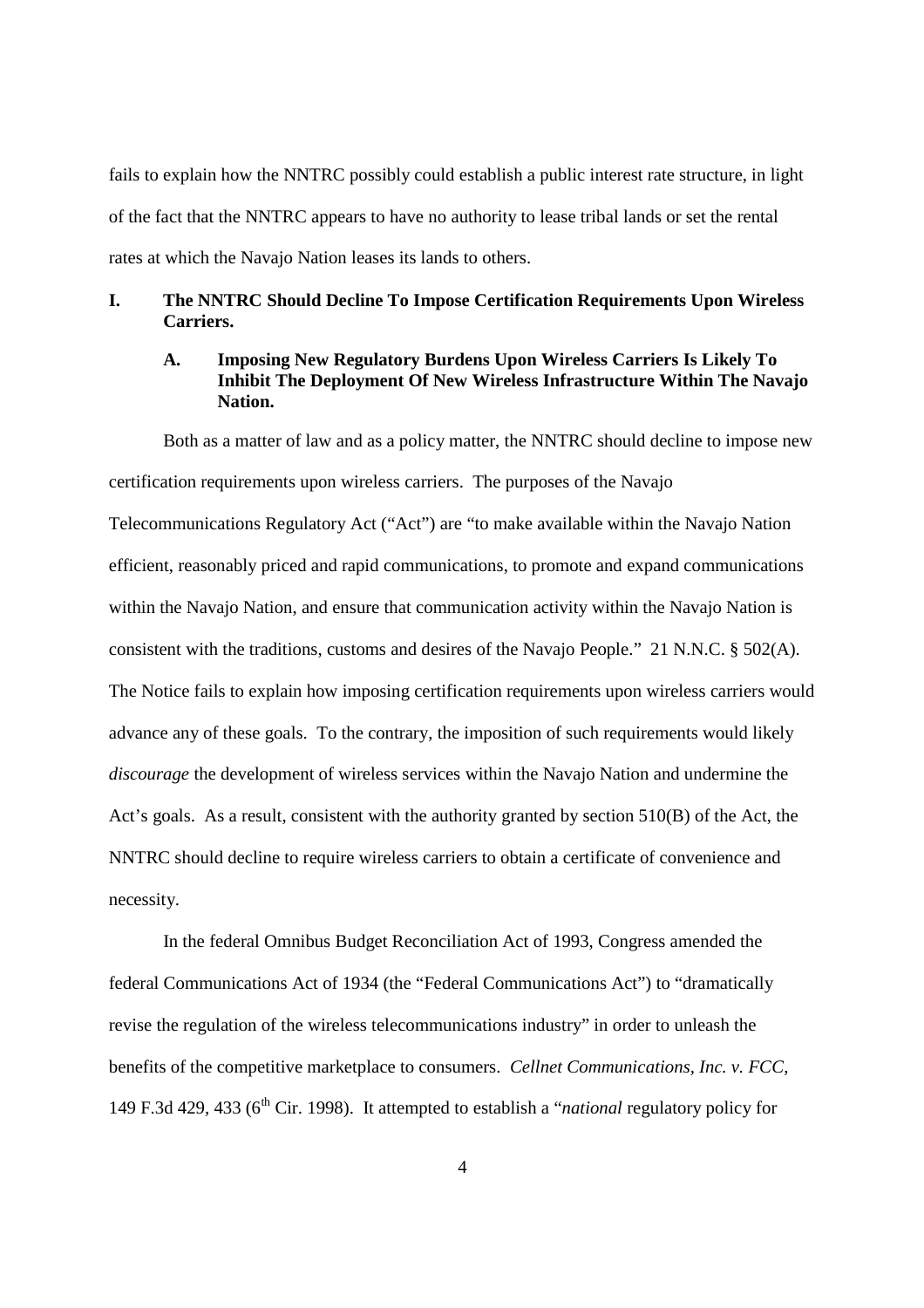fails to explain how the NNTRC possibly could establish a public interest rate structure, in light of the fact that the NNTRC appears to have no authority to lease tribal lands or set the rental rates at which the Navajo Nation leases its lands to others.

## **I. The NNTRC Should Decline To Impose Certification Requirements Upon Wireless Carriers.**

## **A. Imposing New Regulatory Burdens Upon Wireless Carriers Is Likely To Inhibit The Deployment Of New Wireless Infrastructure Within The Navajo Nation.**

Both as a matter of law and as a policy matter, the NNTRC should decline to impose new certification requirements upon wireless carriers. The purposes of the Navajo Telecommunications Regulatory Act ("Act") are "to make available within the Navajo Nation efficient, reasonably priced and rapid communications, to promote and expand communications within the Navajo Nation, and ensure that communication activity within the Navajo Nation is consistent with the traditions, customs and desires of the Navajo People." 21 N.N.C. § 502(A). The Notice fails to explain how imposing certification requirements upon wireless carriers would advance any of these goals. To the contrary, the imposition of such requirements would likely *discourage* the development of wireless services within the Navajo Nation and undermine the Act's goals. As a result, consistent with the authority granted by section 510(B) of the Act, the NNTRC should decline to require wireless carriers to obtain a certificate of convenience and necessity.

In the federal Omnibus Budget Reconciliation Act of 1993, Congress amended the federal Communications Act of 1934 (the "Federal Communications Act") to "dramatically revise the regulation of the wireless telecommunications industry" in order to unleash the benefits of the competitive marketplace to consumers. *Cellnet Communications, Inc. v. FCC*, 149 F.3d 429, 433 (6th Cir. 1998). It attempted to establish a "*national* regulatory policy for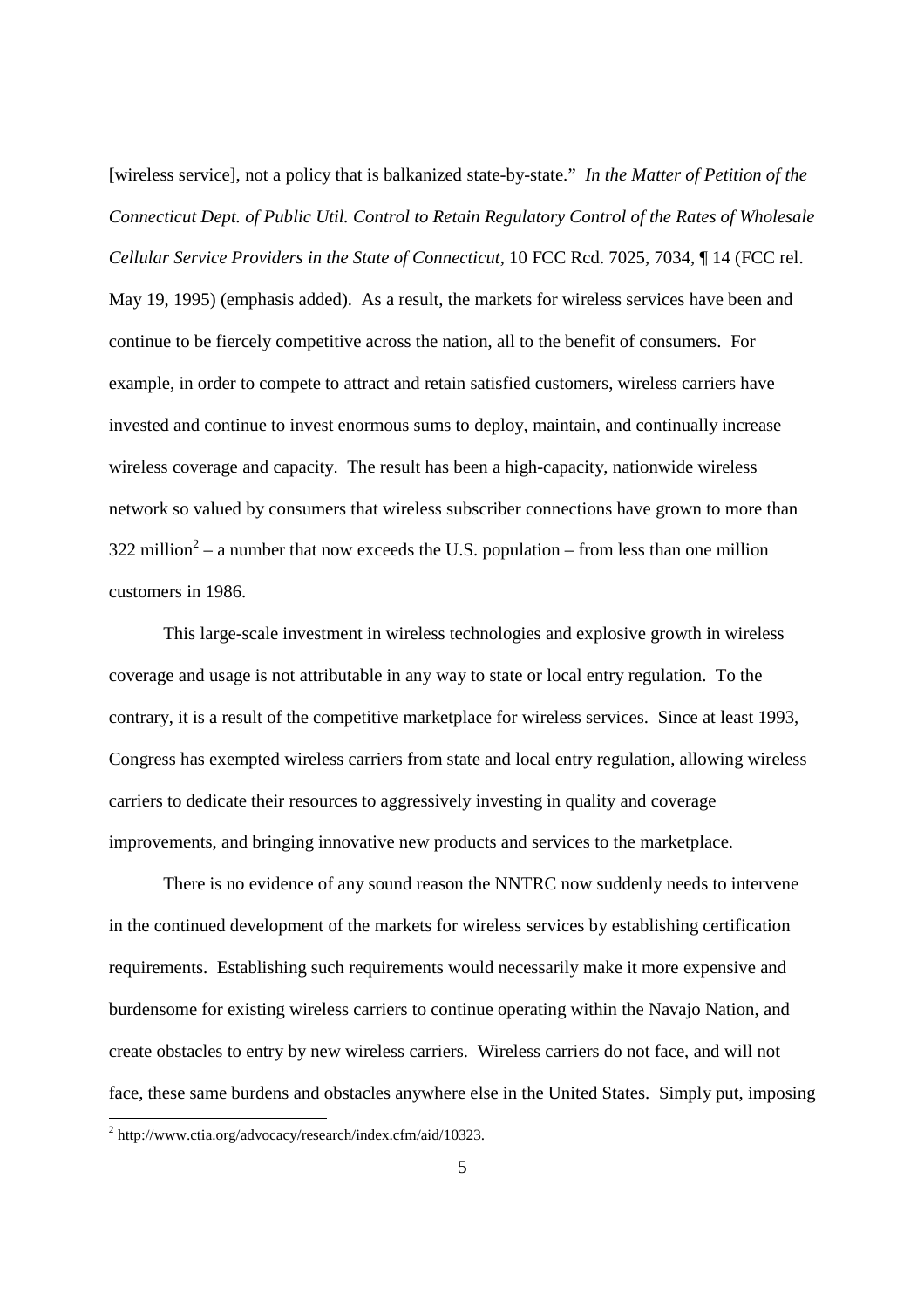[wireless service], not a policy that is balkanized state-by-state." *In the Matter of Petition of the Connecticut Dept. of Public Util. Control to Retain Regulatory Control of the Rates of Wholesale Cellular Service Providers in the State of Connecticut*, 10 FCC Rcd. 7025, 7034, ¶ 14 (FCC rel.

May 19, 1995) (emphasis added). As a result, the markets for wireless services have been and continue to be fiercely competitive across the nation, all to the benefit of consumers. For example, in order to compete to attract and retain satisfied customers, wireless carriers have invested and continue to invest enormous sums to deploy, maintain, and continually increase wireless coverage and capacity. The result has been a high-capacity, nationwide wireless network so valued by consumers that wireless subscriber connections have grown to more than 322 million<sup>2</sup> – a number that now exceeds the U.S. population – from less than one million customers in 1986.

This large-scale investment in wireless technologies and explosive growth in wireless coverage and usage is not attributable in any way to state or local entry regulation. To the contrary, it is a result of the competitive marketplace for wireless services. Since at least 1993, Congress has exempted wireless carriers from state and local entry regulation, allowing wireless carriers to dedicate their resources to aggressively investing in quality and coverage improvements, and bringing innovative new products and services to the marketplace.

There is no evidence of any sound reason the NNTRC now suddenly needs to intervene in the continued development of the markets for wireless services by establishing certification requirements. Establishing such requirements would necessarily make it more expensive and burdensome for existing wireless carriers to continue operating within the Navajo Nation, and create obstacles to entry by new wireless carriers. Wireless carriers do not face, and will not face, these same burdens and obstacles anywhere else in the United States. Simply put, imposing

<sup>&</sup>lt;sup>2</sup> http://www.ctia.org/advocacy/research/index.cfm/aid/10323.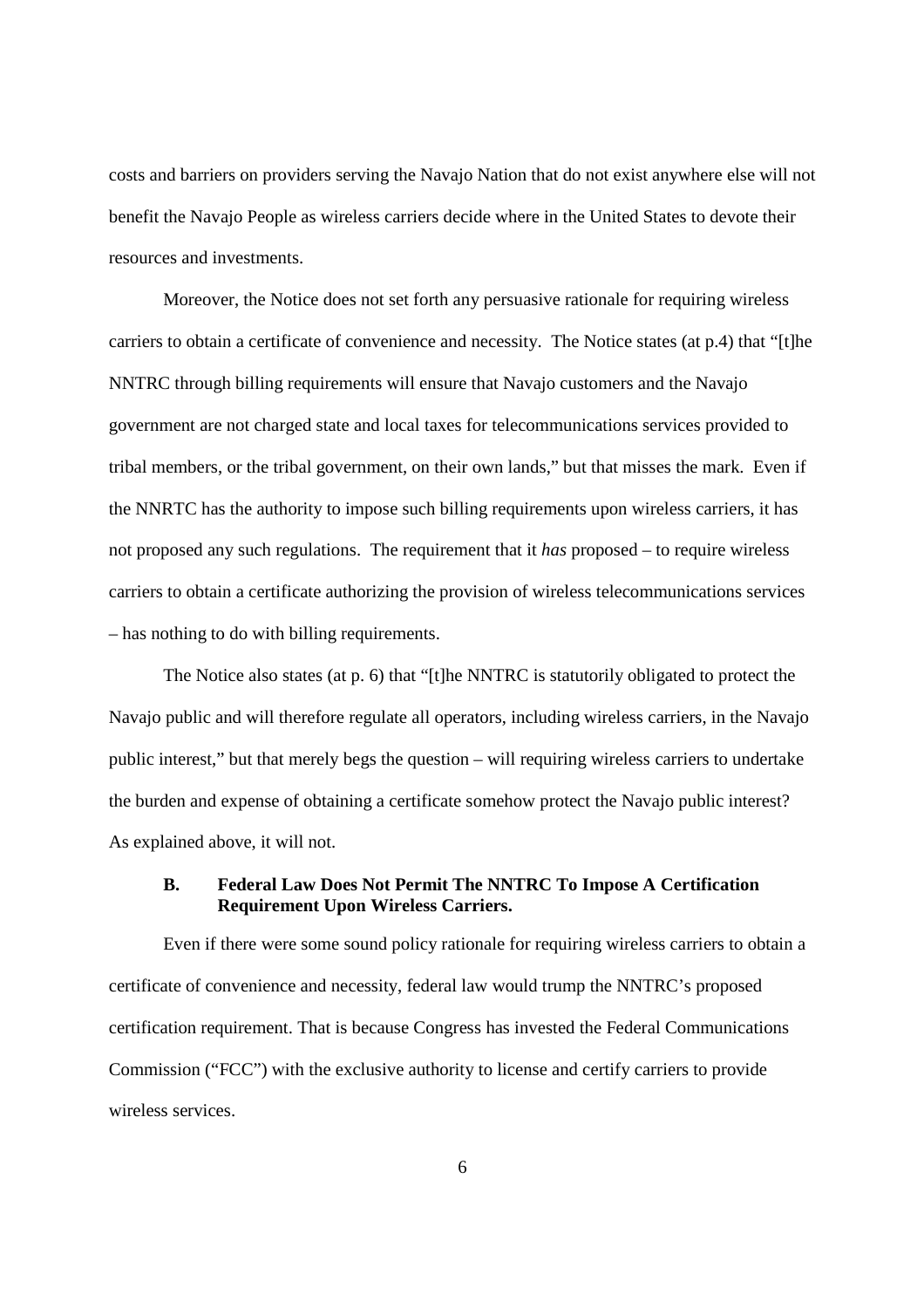costs and barriers on providers serving the Navajo Nation that do not exist anywhere else will not benefit the Navajo People as wireless carriers decide where in the United States to devote their resources and investments.

Moreover, the Notice does not set forth any persuasive rationale for requiring wireless carriers to obtain a certificate of convenience and necessity. The Notice states (at p.4) that "[t]he NNTRC through billing requirements will ensure that Navajo customers and the Navajo government are not charged state and local taxes for telecommunications services provided to tribal members, or the tribal government, on their own lands," but that misses the mark. Even if the NNRTC has the authority to impose such billing requirements upon wireless carriers, it has not proposed any such regulations. The requirement that it *has* proposed – to require wireless carriers to obtain a certificate authorizing the provision of wireless telecommunications services – has nothing to do with billing requirements.

The Notice also states (at p. 6) that "[t]he NNTRC is statutorily obligated to protect the Navajo public and will therefore regulate all operators, including wireless carriers, in the Navajo public interest," but that merely begs the question – will requiring wireless carriers to undertake the burden and expense of obtaining a certificate somehow protect the Navajo public interest? As explained above, it will not.

### **B. Federal Law Does Not Permit The NNTRC To Impose A Certification Requirement Upon Wireless Carriers.**

Even if there were some sound policy rationale for requiring wireless carriers to obtain a certificate of convenience and necessity, federal law would trump the NNTRC's proposed certification requirement. That is because Congress has invested the Federal Communications Commission ("FCC") with the exclusive authority to license and certify carriers to provide wireless services.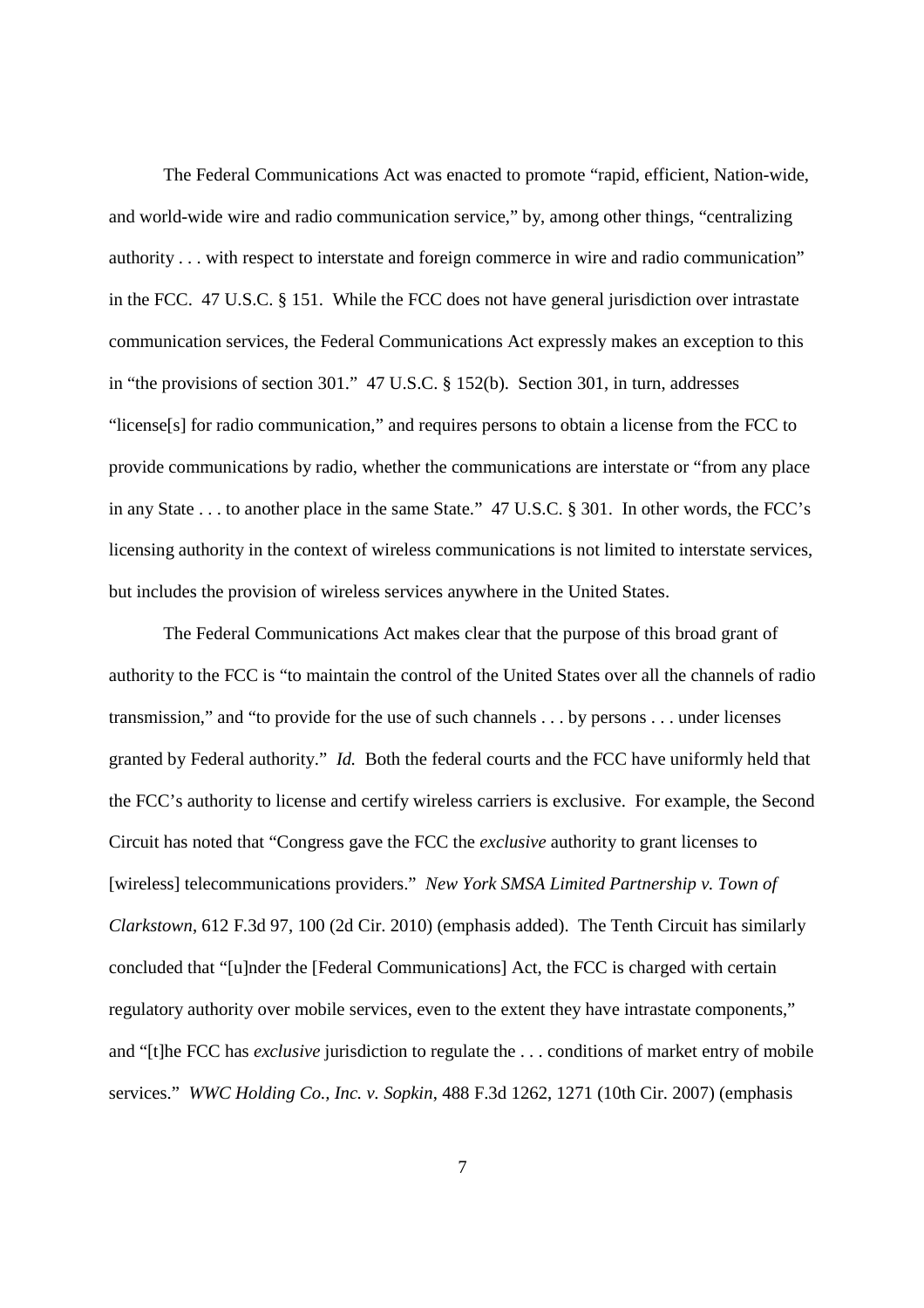The Federal Communications Act was enacted to promote "rapid, efficient, Nation-wide, and world-wide wire and radio communication service," by, among other things, "centralizing authority . . . with respect to interstate and foreign commerce in wire and radio communication" in the FCC. 47 U.S.C. § 151. While the FCC does not have general jurisdiction over intrastate communication services, the Federal Communications Act expressly makes an exception to this in "the provisions of section 301." 47 U.S.C. § 152(b). Section 301, in turn, addresses "license[s] for radio communication," and requires persons to obtain a license from the FCC to provide communications by radio, whether the communications are interstate or "from any place in any State . . . to another place in the same State." 47 U.S.C. § 301. In other words, the FCC's licensing authority in the context of wireless communications is not limited to interstate services, but includes the provision of wireless services anywhere in the United States.

The Federal Communications Act makes clear that the purpose of this broad grant of authority to the FCC is "to maintain the control of the United States over all the channels of radio transmission," and "to provide for the use of such channels . . . by persons . . . under licenses granted by Federal authority." *Id.* Both the federal courts and the FCC have uniformly held that the FCC's authority to license and certify wireless carriers is exclusive. For example, the Second Circuit has noted that "Congress gave the FCC the *exclusive* authority to grant licenses to [wireless] telecommunications providers." *New York SMSA Limited Partnership v. Town of Clarkstown*, 612 F.3d 97, 100 (2d Cir. 2010) (emphasis added). The Tenth Circuit has similarly concluded that "[u]nder the [Federal Communications] Act, the FCC is charged with certain regulatory authority over mobile services, even to the extent they have intrastate components," and "[t]he FCC has *exclusive* jurisdiction to regulate the . . . conditions of market entry of mobile services." *WWC Holding Co., Inc. v. Sopkin*, 488 F.3d 1262, 1271 (10th Cir. 2007) (emphasis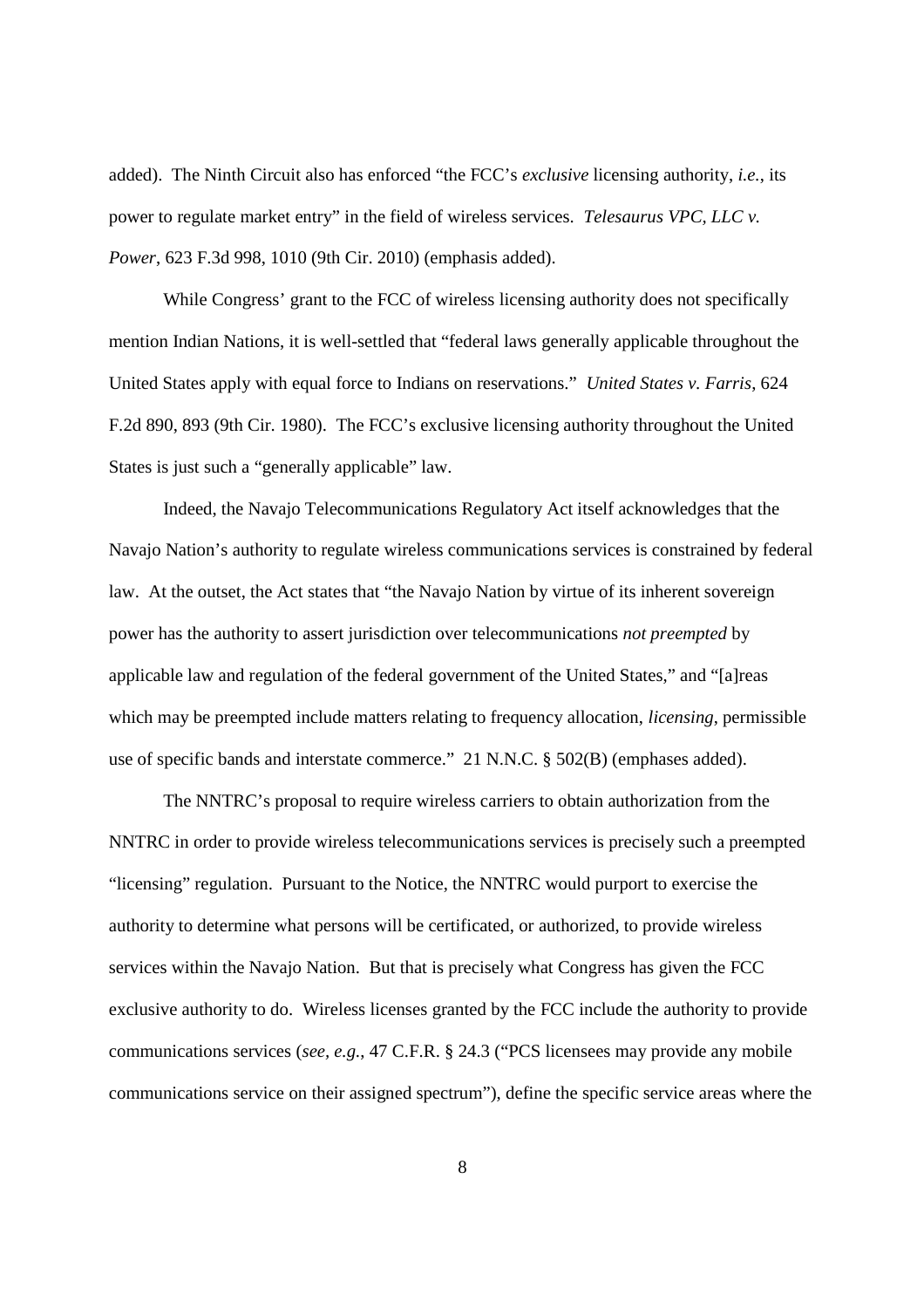added). The Ninth Circuit also has enforced "the FCC's *exclusive* licensing authority, *i.e.*, its power to regulate market entry" in the field of wireless services. *Telesaurus VPC, LLC v. Power*, 623 F.3d 998, 1010 (9th Cir. 2010) (emphasis added).

While Congress' grant to the FCC of wireless licensing authority does not specifically mention Indian Nations, it is well-settled that "federal laws generally applicable throughout the United States apply with equal force to Indians on reservations." *United States v. Farris*, 624 F.2d 890, 893 (9th Cir. 1980). The FCC's exclusive licensing authority throughout the United States is just such a "generally applicable" law.

Indeed, the Navajo Telecommunications Regulatory Act itself acknowledges that the Navajo Nation's authority to regulate wireless communications services is constrained by federal law. At the outset, the Act states that "the Navajo Nation by virtue of its inherent sovereign power has the authority to assert jurisdiction over telecommunications *not preempted* by applicable law and regulation of the federal government of the United States," and "[a]reas which may be preempted include matters relating to frequency allocation, *licensing*, permissible use of specific bands and interstate commerce." 21 N.N.C. § 502(B) (emphases added).

The NNTRC's proposal to require wireless carriers to obtain authorization from the NNTRC in order to provide wireless telecommunications services is precisely such a preempted "licensing" regulation. Pursuant to the Notice, the NNTRC would purport to exercise the authority to determine what persons will be certificated, or authorized, to provide wireless services within the Navajo Nation. But that is precisely what Congress has given the FCC exclusive authority to do. Wireless licenses granted by the FCC include the authority to provide communications services (*see, e.g.*, 47 C.F.R. § 24.3 ("PCS licensees may provide any mobile communications service on their assigned spectrum"), define the specific service areas where the

8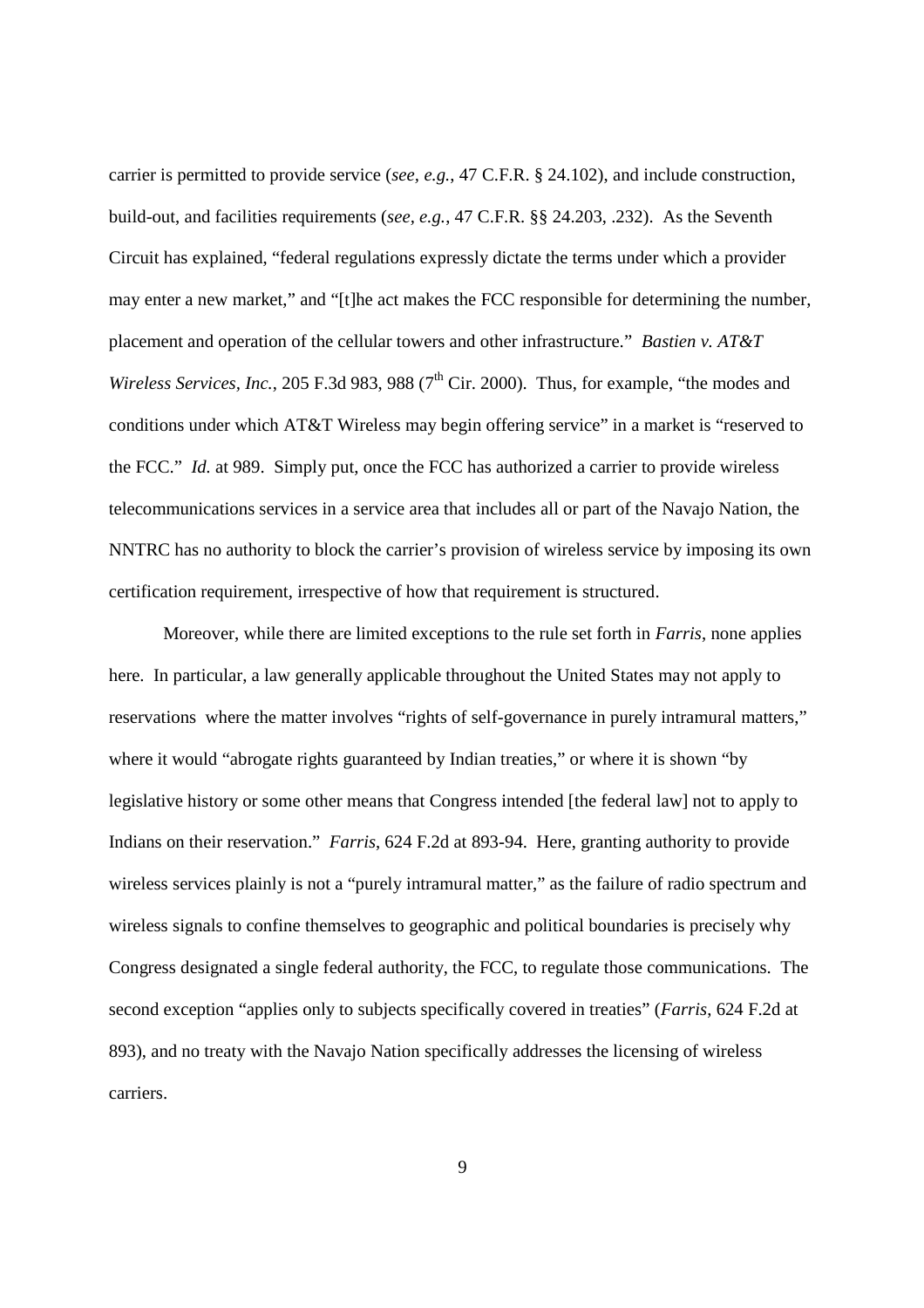carrier is permitted to provide service (*see, e.g.*, 47 C.F.R. § 24.102), and include construction, build-out, and facilities requirements (*see, e.g.*, 47 C.F.R. §§ 24.203, .232). As the Seventh Circuit has explained, "federal regulations expressly dictate the terms under which a provider may enter a new market," and "[t]he act makes the FCC responsible for determining the number, placement and operation of the cellular towers and other infrastructure." *Bastien v. AT&T Wireless Services, Inc., 205 F.3d 983, 988 (7<sup>th</sup> Cir. 2000). Thus, for example, "the modes and* conditions under which AT&T Wireless may begin offering service" in a market is "reserved to the FCC." *Id.* at 989. Simply put, once the FCC has authorized a carrier to provide wireless telecommunications services in a service area that includes all or part of the Navajo Nation, the NNTRC has no authority to block the carrier's provision of wireless service by imposing its own certification requirement, irrespective of how that requirement is structured.

Moreover, while there are limited exceptions to the rule set forth in *Farris*, none applies here. In particular, a law generally applicable throughout the United States may not apply to reservations where the matter involves "rights of self-governance in purely intramural matters," where it would "abrogate rights guaranteed by Indian treaties," or where it is shown "by legislative history or some other means that Congress intended [the federal law] not to apply to Indians on their reservation." *Farris*, 624 F.2d at 893-94. Here, granting authority to provide wireless services plainly is not a "purely intramural matter," as the failure of radio spectrum and wireless signals to confine themselves to geographic and political boundaries is precisely why Congress designated a single federal authority, the FCC, to regulate those communications. The second exception "applies only to subjects specifically covered in treaties" (*Farris*, 624 F.2d at 893), and no treaty with the Navajo Nation specifically addresses the licensing of wireless carriers.

9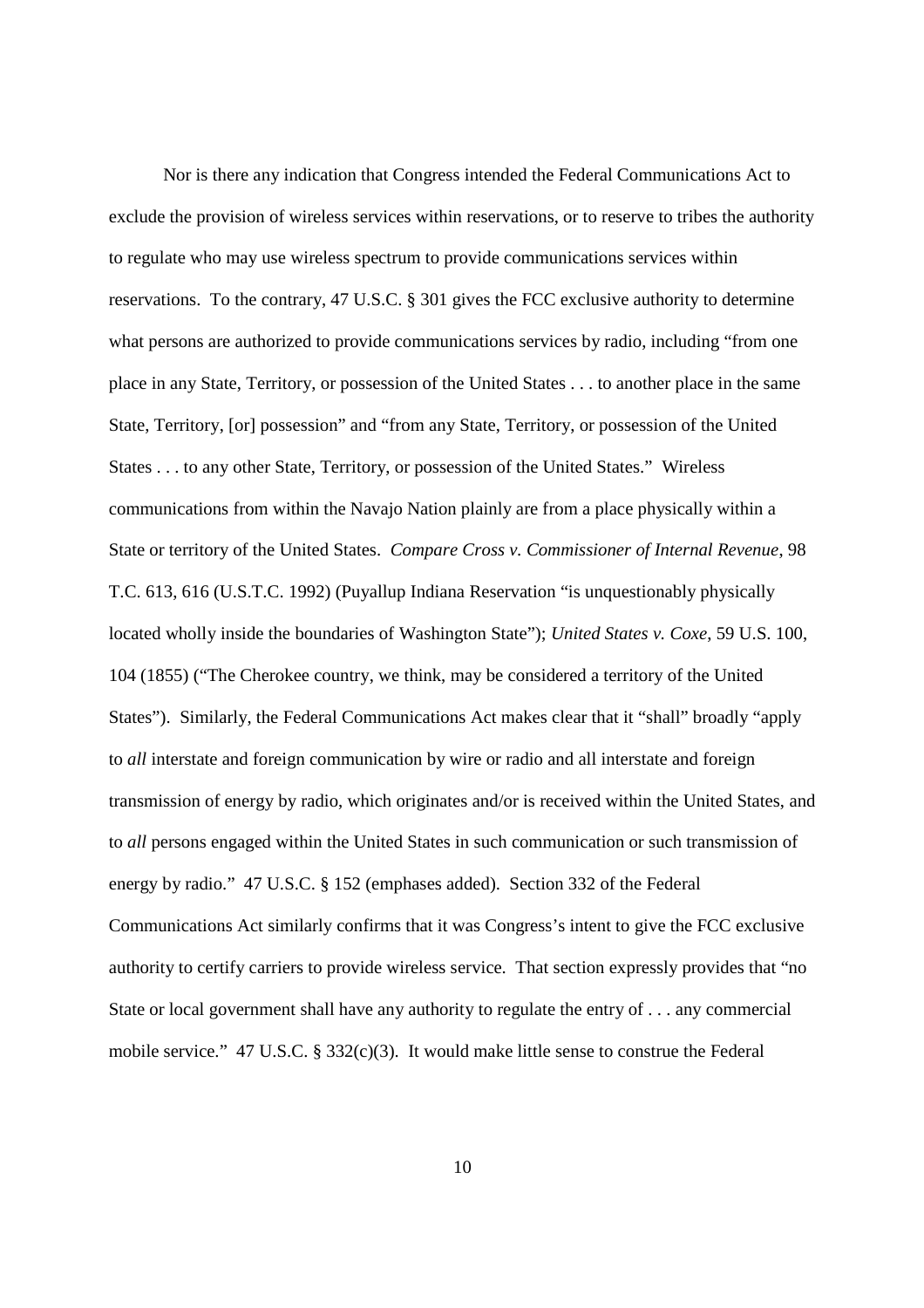Nor is there any indication that Congress intended the Federal Communications Act to exclude the provision of wireless services within reservations, or to reserve to tribes the authority to regulate who may use wireless spectrum to provide communications services within reservations. To the contrary, 47 U.S.C. § 301 gives the FCC exclusive authority to determine what persons are authorized to provide communications services by radio, including "from one place in any State, Territory, or possession of the United States . . . to another place in the same State, Territory, [or] possession" and "from any State, Territory, or possession of the United States . . . to any other State, Territory, or possession of the United States." Wireless communications from within the Navajo Nation plainly are from a place physically within a State or territory of the United States. *Compare Cross v. Commissioner of Internal Revenue*, 98 T.C. 613, 616 (U.S.T.C. 1992) (Puyallup Indiana Reservation "is unquestionably physically located wholly inside the boundaries of Washington State"); *United States v. Coxe*, 59 U.S. 100, 104 (1855) ("The Cherokee country, we think, may be considered a territory of the United States"). Similarly, the Federal Communications Act makes clear that it "shall" broadly "apply to *all* interstate and foreign communication by wire or radio and all interstate and foreign transmission of energy by radio, which originates and/or is received within the United States, and to *all* persons engaged within the United States in such communication or such transmission of energy by radio." 47 U.S.C. § 152 (emphases added). Section 332 of the Federal Communications Act similarly confirms that it was Congress's intent to give the FCC exclusive authority to certify carriers to provide wireless service. That section expressly provides that "no State or local government shall have any authority to regulate the entry of . . . any commercial mobile service."  $47 \text{ U.S.C. }$  §  $332(c)(3)$ . It would make little sense to construe the Federal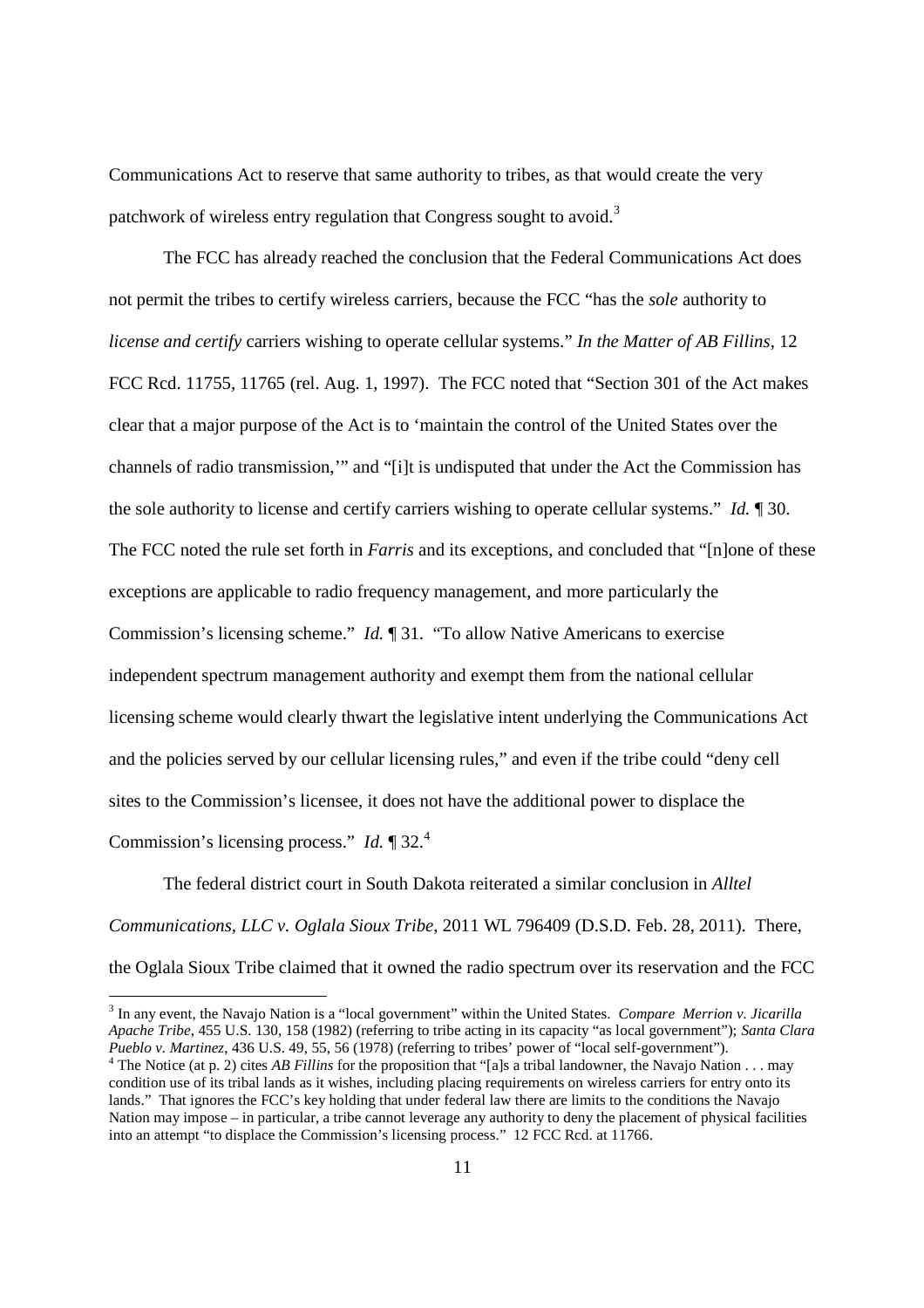Communications Act to reserve that same authority to tribes, as that would create the very patchwork of wireless entry regulation that Congress sought to avoid.<sup>3</sup>

The FCC has already reached the conclusion that the Federal Communications Act does not permit the tribes to certify wireless carriers, because the FCC "has the *sole* authority to *license and certify* carriers wishing to operate cellular systems." *In the Matter of AB Fillins*, 12 FCC Rcd. 11755, 11765 (rel. Aug. 1, 1997). The FCC noted that "Section 301 of the Act makes clear that a major purpose of the Act is to 'maintain the control of the United States over the channels of radio transmission,'" and "[i]t is undisputed that under the Act the Commission has the sole authority to license and certify carriers wishing to operate cellular systems." *Id.* ¶ 30. The FCC noted the rule set forth in *Farris* and its exceptions, and concluded that "[n]one of these exceptions are applicable to radio frequency management, and more particularly the Commission's licensing scheme." *Id.* ¶ 31. "To allow Native Americans to exercise independent spectrum management authority and exempt them from the national cellular licensing scheme would clearly thwart the legislative intent underlying the Communications Act and the policies served by our cellular licensing rules," and even if the tribe could "deny cell sites to the Commission's licensee, it does not have the additional power to displace the Commission's licensing process." *Id.* ¶ 32.<sup>4</sup>

The federal district court in South Dakota reiterated a similar conclusion in *Alltel Communications, LLC v. Oglala Sioux Tribe*, 2011 WL 796409 (D.S.D. Feb. 28, 2011). There, the Oglala Sioux Tribe claimed that it owned the radio spectrum over its reservation and the FCC

<sup>3</sup> In any event, the Navajo Nation is a "local government" within the United States. *Compare Merrion v. Jicarilla Apache Tribe*, 455 U.S. 130, 158 (1982) (referring to tribe acting in its capacity "as local government"); *Santa Clara Pueblo v. Martinez*, 436 U.S. 49, 55, 56 (1978) (referring to tribes' power of "local self-government").

<sup>&</sup>lt;sup>4</sup> The Notice (at p. 2) cites *AB Fillins* for the proposition that "[a]s a tribal landowner, the Navajo Nation . . . may condition use of its tribal lands as it wishes, including placing requirements on wireless carriers for entry onto its lands." That ignores the FCC's key holding that under federal law there are limits to the conditions the Navajo Nation may impose – in particular, a tribe cannot leverage any authority to deny the placement of physical facilities into an attempt "to displace the Commission's licensing process." 12 FCC Rcd. at 11766.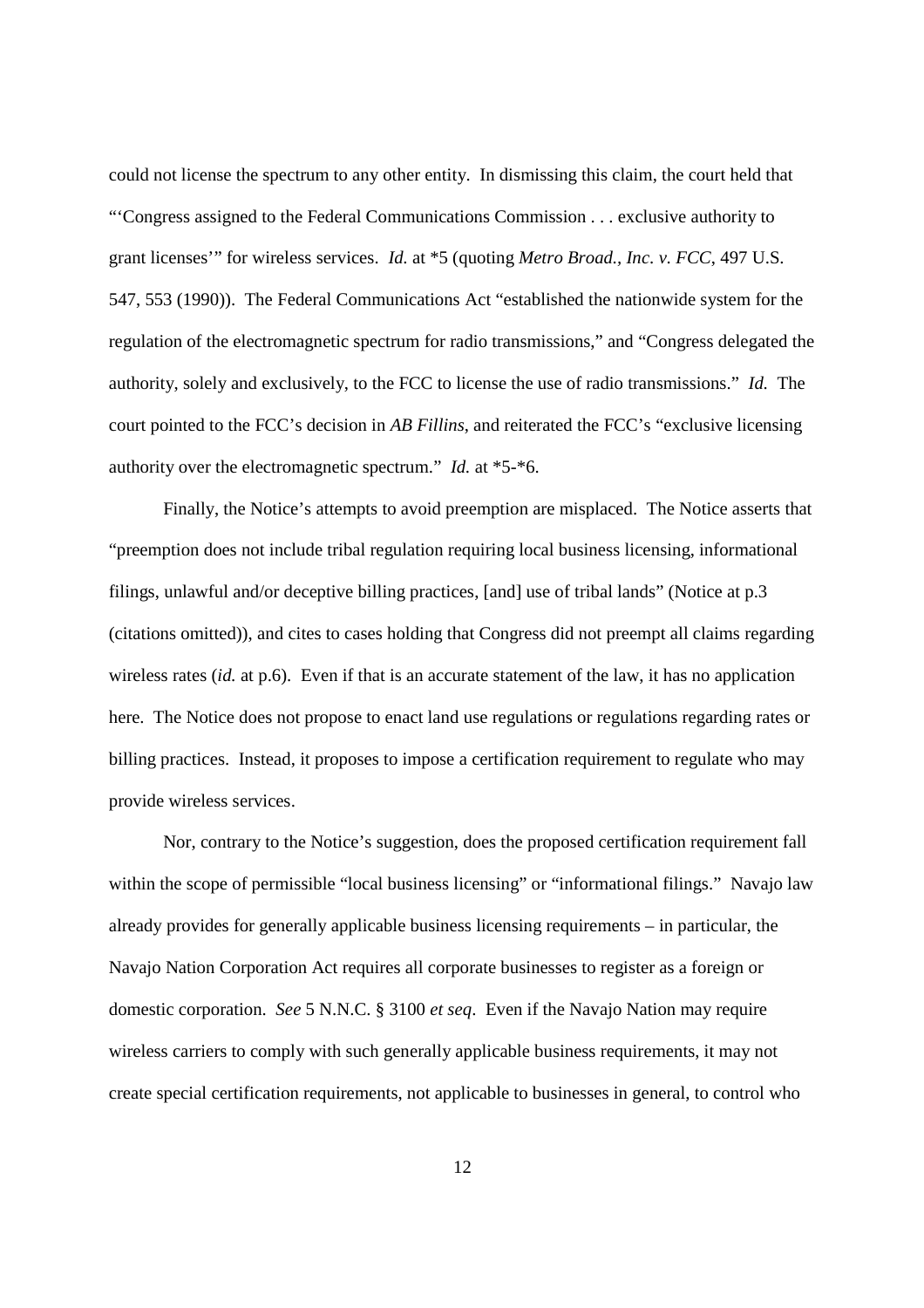could not license the spectrum to any other entity. In dismissing this claim, the court held that "'Congress assigned to the Federal Communications Commission . . . exclusive authority to grant licenses'" for wireless services. *Id.* at \*5 (quoting *Metro Broad., Inc. v. FCC*, 497 U.S. 547, 553 (1990)). The Federal Communications Act "established the nationwide system for the regulation of the electromagnetic spectrum for radio transmissions," and "Congress delegated the authority, solely and exclusively, to the FCC to license the use of radio transmissions." *Id.* The court pointed to the FCC's decision in *AB Fillins*, and reiterated the FCC's "exclusive licensing authority over the electromagnetic spectrum." *Id.* at \*5-\*6.

Finally, the Notice's attempts to avoid preemption are misplaced. The Notice asserts that "preemption does not include tribal regulation requiring local business licensing, informational filings, unlawful and/or deceptive billing practices, [and] use of tribal lands" (Notice at p.3 (citations omitted)), and cites to cases holding that Congress did not preempt all claims regarding wireless rates (*id.* at p.6). Even if that is an accurate statement of the law, it has no application here. The Notice does not propose to enact land use regulations or regulations regarding rates or billing practices. Instead, it proposes to impose a certification requirement to regulate who may provide wireless services.

Nor, contrary to the Notice's suggestion, does the proposed certification requirement fall within the scope of permissible "local business licensing" or "informational filings." Navajo law already provides for generally applicable business licensing requirements – in particular, the Navajo Nation Corporation Act requires all corporate businesses to register as a foreign or domestic corporation. *See* 5 N.N.C. § 3100 *et seq*. Even if the Navajo Nation may require wireless carriers to comply with such generally applicable business requirements, it may not create special certification requirements, not applicable to businesses in general, to control who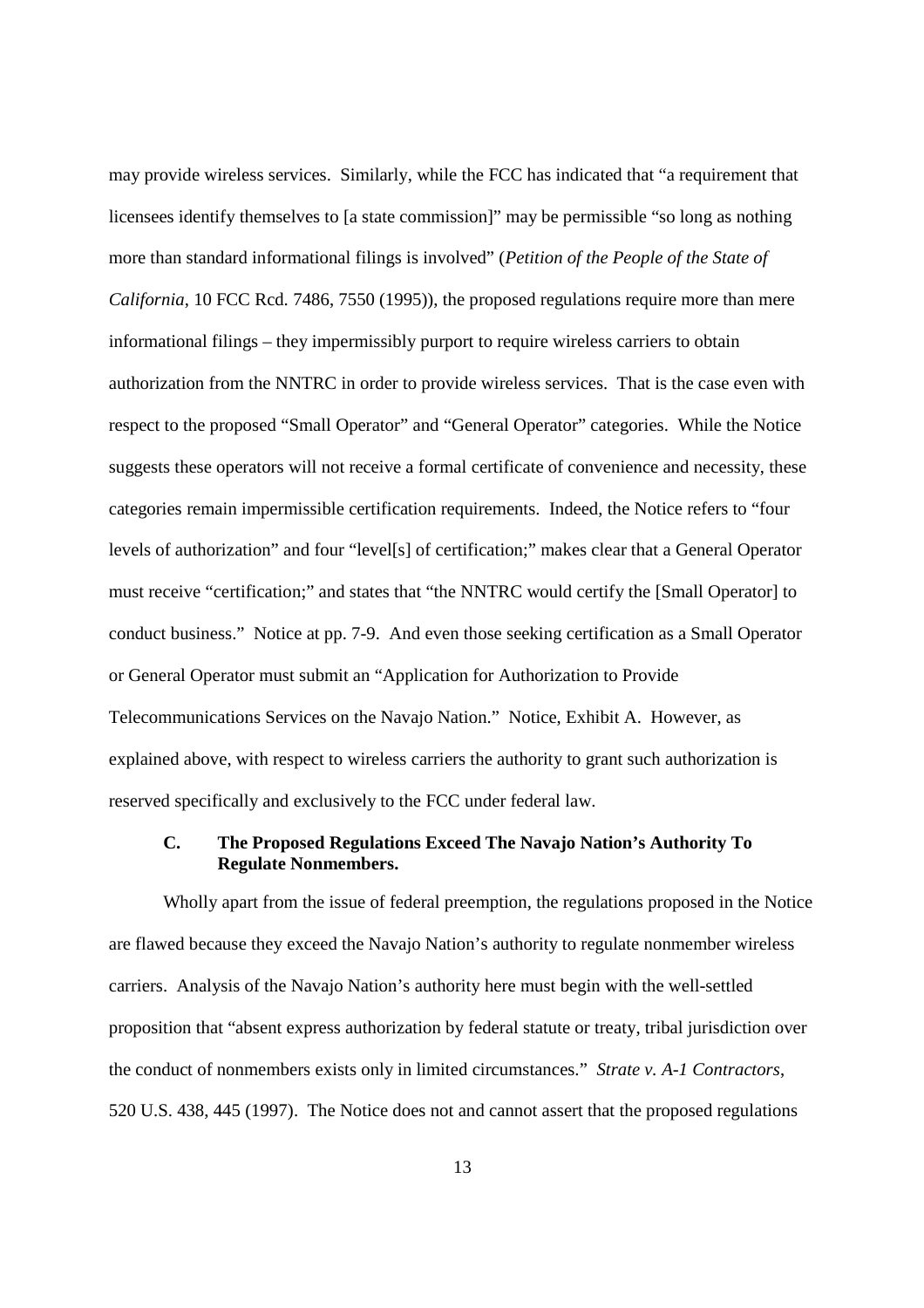may provide wireless services. Similarly, while the FCC has indicated that "a requirement that licensees identify themselves to [a state commission]" may be permissible "so long as nothing more than standard informational filings is involved" (*Petition of the People of the State of California*, 10 FCC Rcd. 7486, 7550 (1995)), the proposed regulations require more than mere informational filings – they impermissibly purport to require wireless carriers to obtain authorization from the NNTRC in order to provide wireless services. That is the case even with respect to the proposed "Small Operator" and "General Operator" categories. While the Notice suggests these operators will not receive a formal certificate of convenience and necessity, these categories remain impermissible certification requirements. Indeed, the Notice refers to "four levels of authorization" and four "level[s] of certification;" makes clear that a General Operator must receive "certification;" and states that "the NNTRC would certify the [Small Operator] to conduct business." Notice at pp. 7-9. And even those seeking certification as a Small Operator or General Operator must submit an "Application for Authorization to Provide Telecommunications Services on the Navajo Nation." Notice, Exhibit A. However, as explained above, with respect to wireless carriers the authority to grant such authorization is reserved specifically and exclusively to the FCC under federal law.

# **C. The Proposed Regulations Exceed The Navajo Nation's Authority To Regulate Nonmembers.**

Wholly apart from the issue of federal preemption, the regulations proposed in the Notice are flawed because they exceed the Navajo Nation's authority to regulate nonmember wireless carriers. Analysis of the Navajo Nation's authority here must begin with the well-settled proposition that "absent express authorization by federal statute or treaty, tribal jurisdiction over the conduct of nonmembers exists only in limited circumstances." *Strate v. A-1 Contractors*, 520 U.S. 438, 445 (1997). The Notice does not and cannot assert that the proposed regulations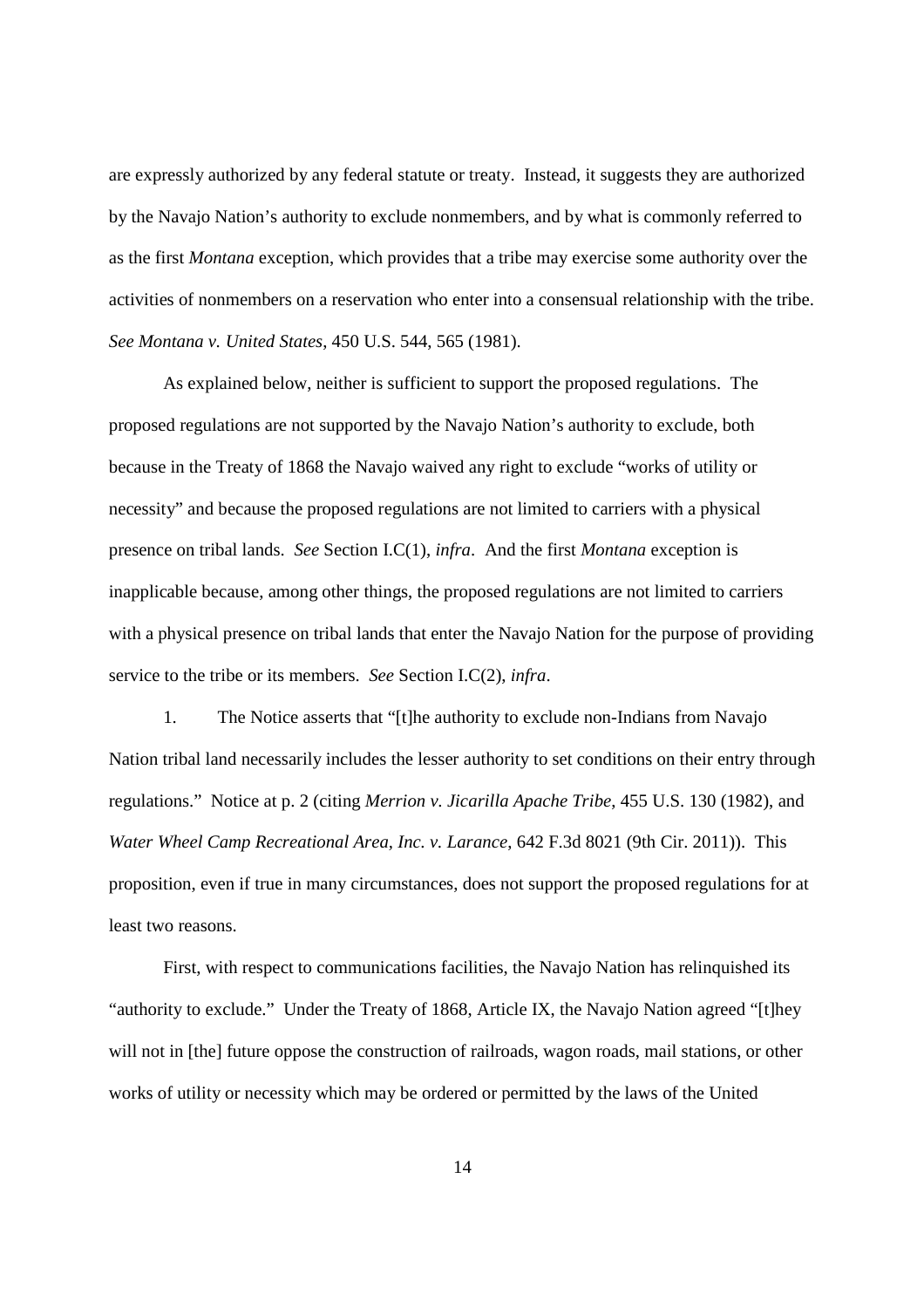are expressly authorized by any federal statute or treaty. Instead, it suggests they are authorized by the Navajo Nation's authority to exclude nonmembers, and by what is commonly referred to as the first *Montana* exception, which provides that a tribe may exercise some authority over the activities of nonmembers on a reservation who enter into a consensual relationship with the tribe. *See Montana v. United States*, 450 U.S. 544, 565 (1981).

As explained below, neither is sufficient to support the proposed regulations. The proposed regulations are not supported by the Navajo Nation's authority to exclude, both because in the Treaty of 1868 the Navajo waived any right to exclude "works of utility or necessity" and because the proposed regulations are not limited to carriers with a physical presence on tribal lands. *See* Section I.C(1), *infra*. And the first *Montana* exception is inapplicable because, among other things, the proposed regulations are not limited to carriers with a physical presence on tribal lands that enter the Navajo Nation for the purpose of providing service to the tribe or its members. *See* Section I.C(2), *infra*.

1. The Notice asserts that "[t]he authority to exclude non-Indians from Navajo Nation tribal land necessarily includes the lesser authority to set conditions on their entry through regulations." Notice at p. 2 (citing *Merrion v. Jicarilla Apache Tribe*, 455 U.S. 130 (1982), and *Water Wheel Camp Recreational Area, Inc. v. Larance*, 642 F.3d 8021 (9th Cir. 2011)). This proposition, even if true in many circumstances, does not support the proposed regulations for at least two reasons.

First, with respect to communications facilities, the Navajo Nation has relinquished its "authority to exclude." Under the Treaty of 1868, Article IX, the Navajo Nation agreed "[t]hey will not in [the] future oppose the construction of railroads, wagon roads, mail stations, or other works of utility or necessity which may be ordered or permitted by the laws of the United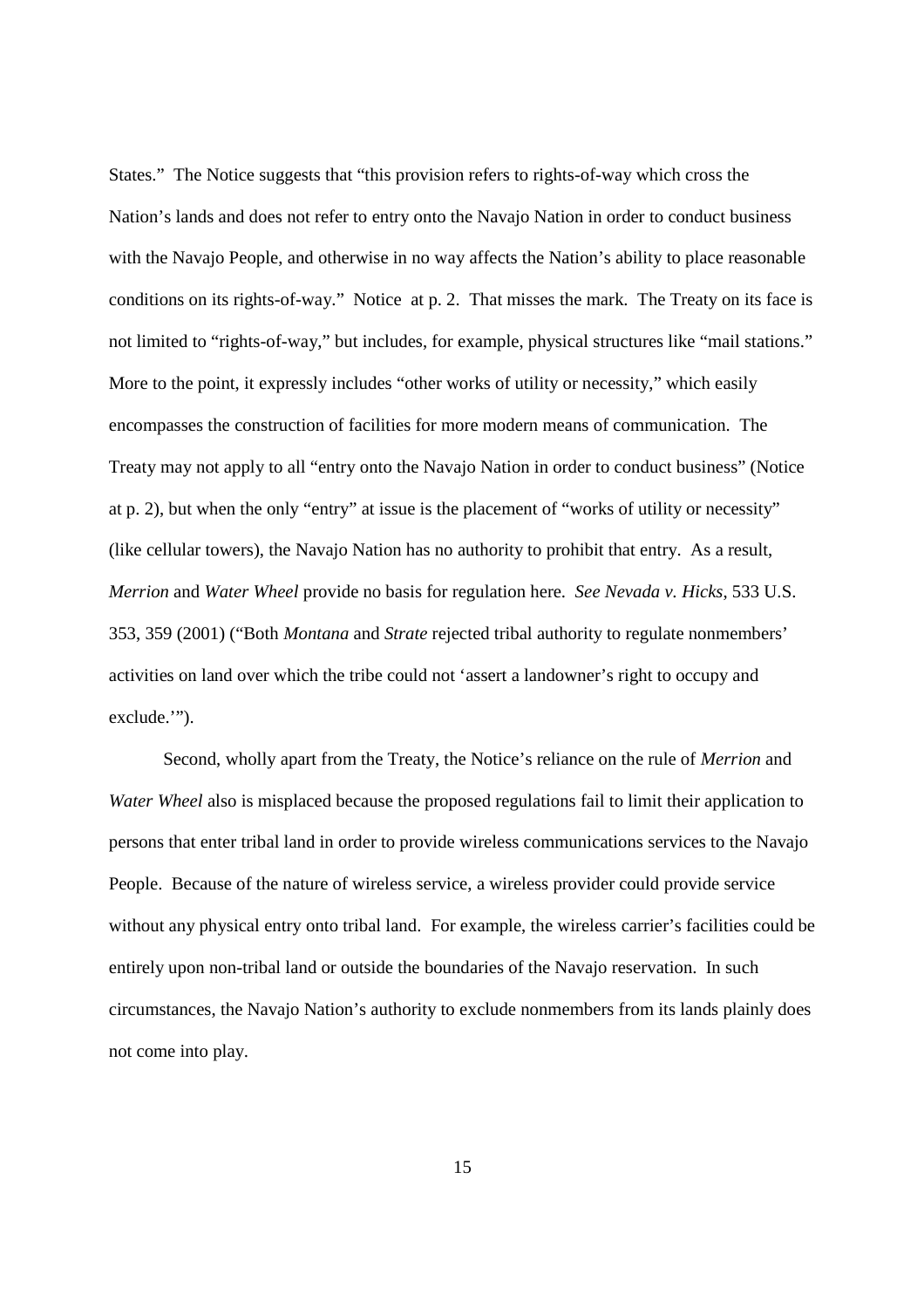States." The Notice suggests that "this provision refers to rights-of-way which cross the Nation's lands and does not refer to entry onto the Navajo Nation in order to conduct business with the Navajo People, and otherwise in no way affects the Nation's ability to place reasonable conditions on its rights-of-way." Notice at p. 2. That misses the mark. The Treaty on its face is not limited to "rights-of-way," but includes, for example, physical structures like "mail stations." More to the point, it expressly includes "other works of utility or necessity," which easily encompasses the construction of facilities for more modern means of communication. The Treaty may not apply to all "entry onto the Navajo Nation in order to conduct business" (Notice at p. 2), but when the only "entry" at issue is the placement of "works of utility or necessity" (like cellular towers), the Navajo Nation has no authority to prohibit that entry. As a result, *Merrion* and *Water Wheel* provide no basis for regulation here. *See Nevada v. Hicks*, 533 U.S. 353, 359 (2001) ("Both *Montana* and *Strate* rejected tribal authority to regulate nonmembers' activities on land over which the tribe could not 'assert a landowner's right to occupy and exclude."").

Second, wholly apart from the Treaty, the Notice's reliance on the rule of *Merrion* and *Water Wheel* also is misplaced because the proposed regulations fail to limit their application to persons that enter tribal land in order to provide wireless communications services to the Navajo People. Because of the nature of wireless service, a wireless provider could provide service without any physical entry onto tribal land. For example, the wireless carrier's facilities could be entirely upon non-tribal land or outside the boundaries of the Navajo reservation. In such circumstances, the Navajo Nation's authority to exclude nonmembers from its lands plainly does not come into play.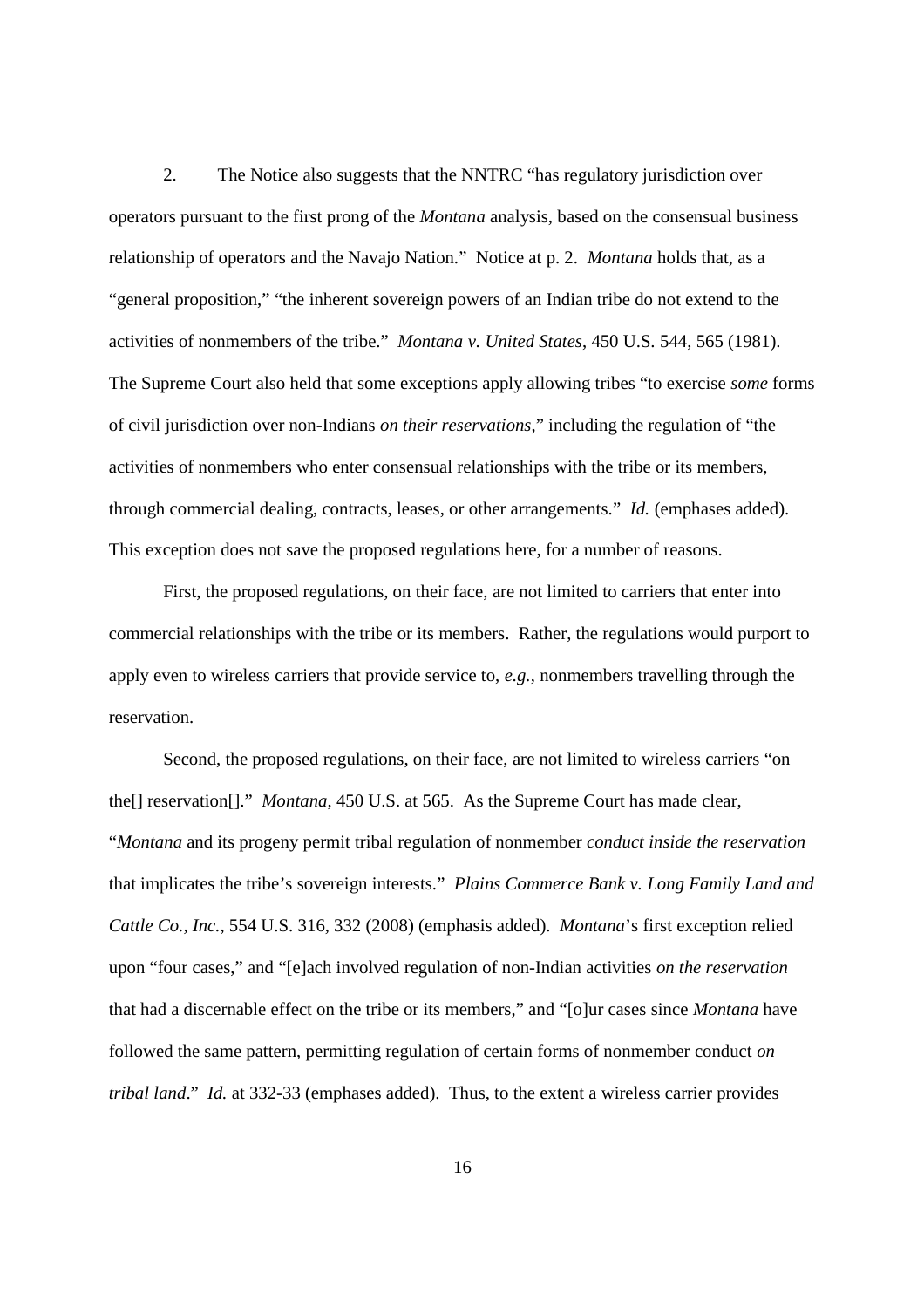2. The Notice also suggests that the NNTRC "has regulatory jurisdiction over operators pursuant to the first prong of the *Montana* analysis, based on the consensual business relationship of operators and the Navajo Nation." Notice at p. 2. *Montana* holds that, as a "general proposition," "the inherent sovereign powers of an Indian tribe do not extend to the activities of nonmembers of the tribe." *Montana v. United States*, 450 U.S. 544, 565 (1981). The Supreme Court also held that some exceptions apply allowing tribes "to exercise *some* forms of civil jurisdiction over non-Indians *on their reservations*," including the regulation of "the activities of nonmembers who enter consensual relationships with the tribe or its members, through commercial dealing, contracts, leases, or other arrangements." *Id.* (emphases added). This exception does not save the proposed regulations here, for a number of reasons.

First, the proposed regulations, on their face, are not limited to carriers that enter into commercial relationships with the tribe or its members. Rather, the regulations would purport to apply even to wireless carriers that provide service to, *e.g.*, nonmembers travelling through the reservation.

Second, the proposed regulations, on their face, are not limited to wireless carriers "on the[] reservation[]." *Montana*, 450 U.S. at 565. As the Supreme Court has made clear, "*Montana* and its progeny permit tribal regulation of nonmember *conduct inside the reservation* that implicates the tribe's sovereign interests." *Plains Commerce Bank v. Long Family Land and Cattle Co., Inc.*, 554 U.S. 316, 332 (2008) (emphasis added). *Montana*'s first exception relied upon "four cases," and "[e]ach involved regulation of non-Indian activities *on the reservation* that had a discernable effect on the tribe or its members," and "[o]ur cases since *Montana* have followed the same pattern, permitting regulation of certain forms of nonmember conduct *on tribal land*." *Id.* at 332-33 (emphases added). Thus, to the extent a wireless carrier provides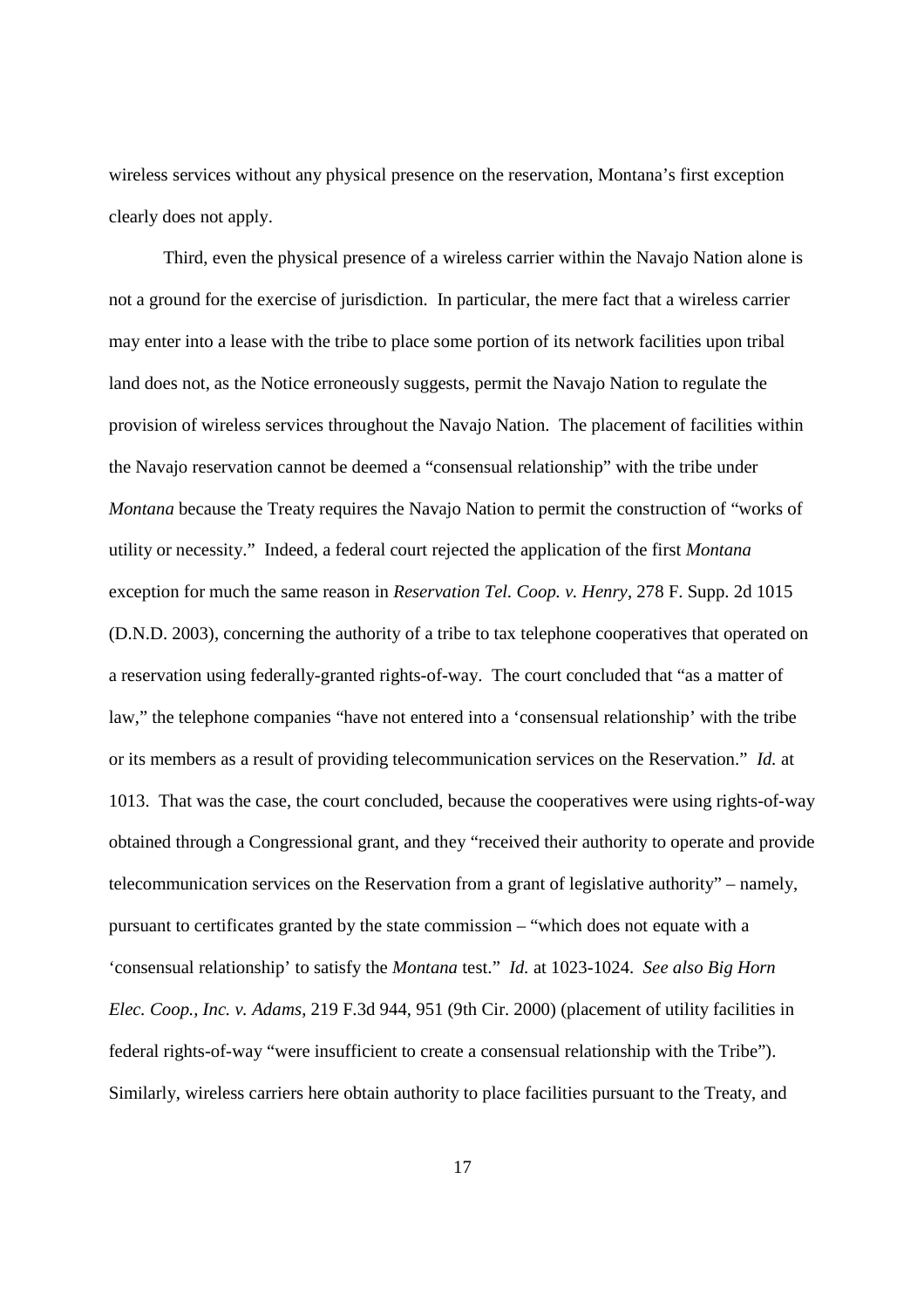wireless services without any physical presence on the reservation, Montana's first exception clearly does not apply.

Third, even the physical presence of a wireless carrier within the Navajo Nation alone is not a ground for the exercise of jurisdiction. In particular, the mere fact that a wireless carrier may enter into a lease with the tribe to place some portion of its network facilities upon tribal land does not, as the Notice erroneously suggests, permit the Navajo Nation to regulate the provision of wireless services throughout the Navajo Nation. The placement of facilities within the Navajo reservation cannot be deemed a "consensual relationship" with the tribe under *Montana* because the Treaty requires the Navajo Nation to permit the construction of "works of utility or necessity." Indeed, a federal court rejected the application of the first *Montana* exception for much the same reason in *Reservation Tel. Coop. v. Henry*, 278 F. Supp. 2d 1015 (D.N.D. 2003), concerning the authority of a tribe to tax telephone cooperatives that operated on a reservation using federally-granted rights-of-way. The court concluded that "as a matter of law," the telephone companies "have not entered into a 'consensual relationship' with the tribe or its members as a result of providing telecommunication services on the Reservation." *Id.* at 1013. That was the case, the court concluded, because the cooperatives were using rights-of-way obtained through a Congressional grant, and they "received their authority to operate and provide telecommunication services on the Reservation from a grant of legislative authority" – namely, pursuant to certificates granted by the state commission – "which does not equate with a 'consensual relationship' to satisfy the *Montana* test." *Id.* at 1023-1024. *See also Big Horn Elec. Coop., Inc. v. Adams*, 219 F.3d 944, 951 (9th Cir. 2000) (placement of utility facilities in federal rights-of-way "were insufficient to create a consensual relationship with the Tribe"). Similarly, wireless carriers here obtain authority to place facilities pursuant to the Treaty, and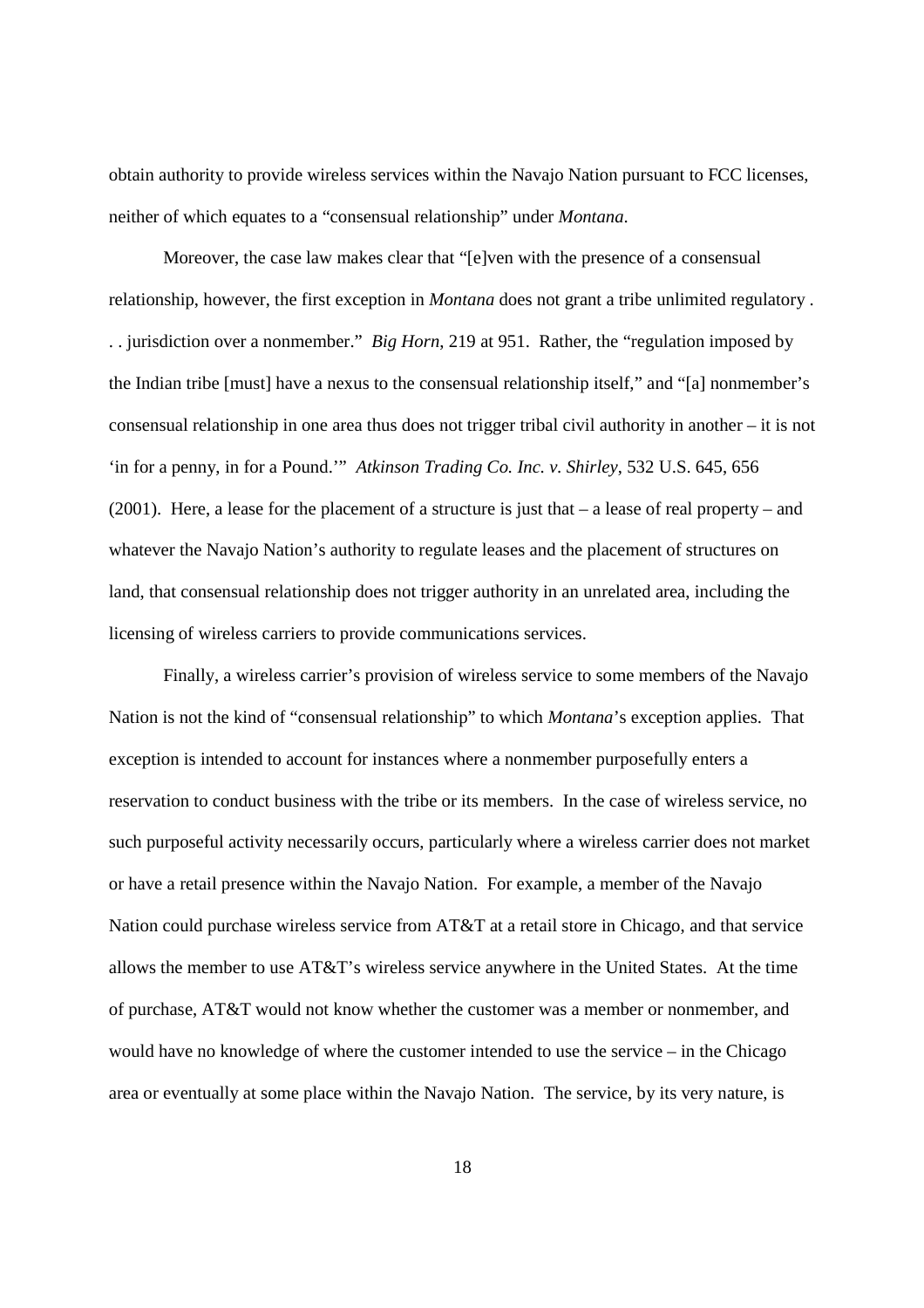obtain authority to provide wireless services within the Navajo Nation pursuant to FCC licenses, neither of which equates to a "consensual relationship" under *Montana*.

Moreover, the case law makes clear that "[e]ven with the presence of a consensual relationship, however, the first exception in *Montana* does not grant a tribe unlimited regulatory . . . jurisdiction over a nonmember." *Big Horn*, 219 at 951. Rather, the "regulation imposed by the Indian tribe [must] have a nexus to the consensual relationship itself," and "[a] nonmember's consensual relationship in one area thus does not trigger tribal civil authority in another – it is not 'in for a penny, in for a Pound.'" *Atkinson Trading Co. Inc. v. Shirley*, 532 U.S. 645, 656 (2001). Here, a lease for the placement of a structure is just that  $-$  a lease of real property  $-$  and whatever the Navajo Nation's authority to regulate leases and the placement of structures on land, that consensual relationship does not trigger authority in an unrelated area, including the licensing of wireless carriers to provide communications services.

Finally, a wireless carrier's provision of wireless service to some members of the Navajo Nation is not the kind of "consensual relationship" to which *Montana*'s exception applies. That exception is intended to account for instances where a nonmember purposefully enters a reservation to conduct business with the tribe or its members. In the case of wireless service, no such purposeful activity necessarily occurs, particularly where a wireless carrier does not market or have a retail presence within the Navajo Nation. For example, a member of the Navajo Nation could purchase wireless service from AT&T at a retail store in Chicago, and that service allows the member to use AT&T's wireless service anywhere in the United States. At the time of purchase, AT&T would not know whether the customer was a member or nonmember, and would have no knowledge of where the customer intended to use the service – in the Chicago area or eventually at some place within the Navajo Nation. The service, by its very nature, is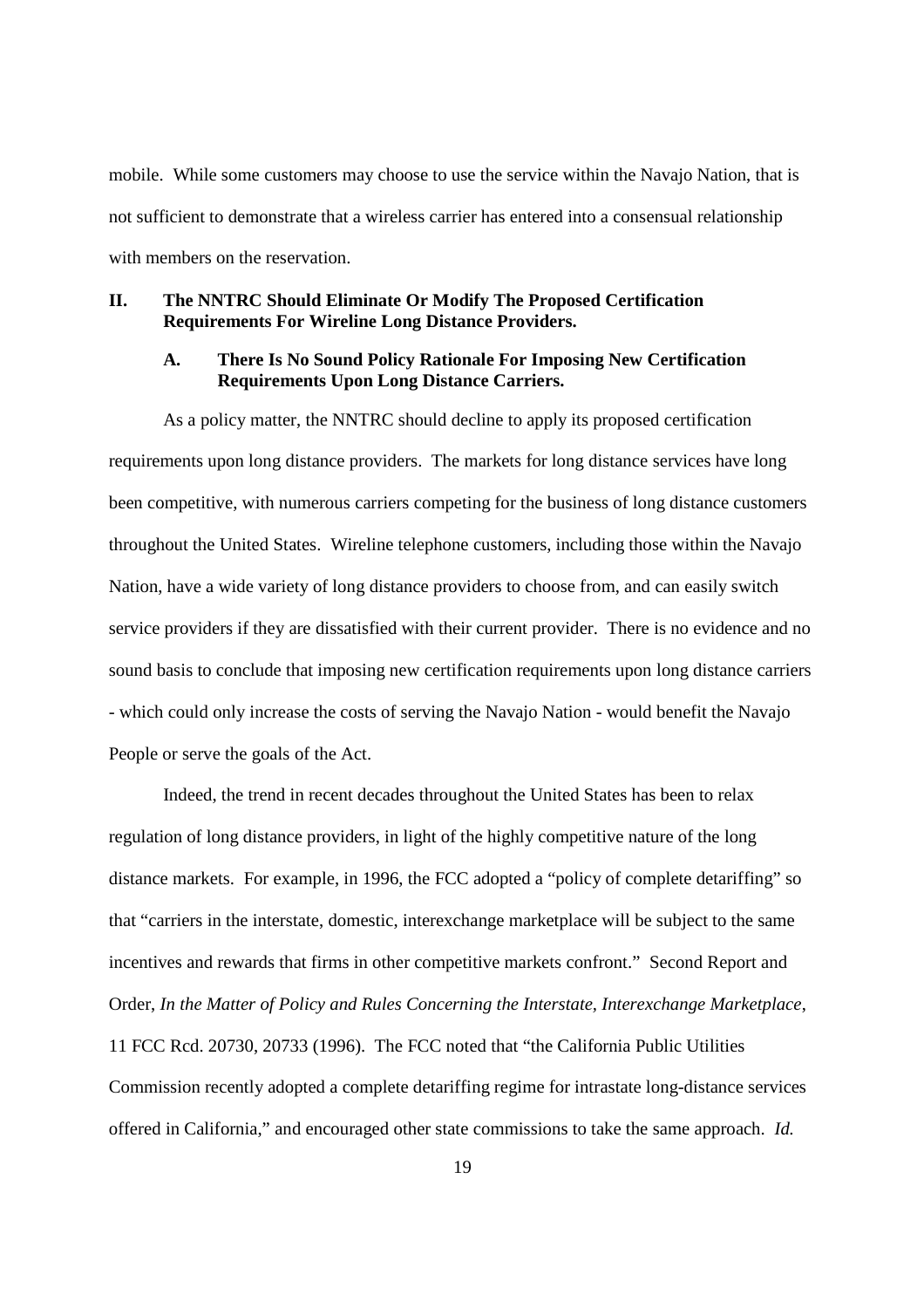mobile. While some customers may choose to use the service within the Navajo Nation, that is not sufficient to demonstrate that a wireless carrier has entered into a consensual relationship with members on the reservation.

#### **II. The NNTRC Should Eliminate Or Modify The Proposed Certification Requirements For Wireline Long Distance Providers.**

#### **A. There Is No Sound Policy Rationale For Imposing New Certification Requirements Upon Long Distance Carriers.**

As a policy matter, the NNTRC should decline to apply its proposed certification requirements upon long distance providers. The markets for long distance services have long been competitive, with numerous carriers competing for the business of long distance customers throughout the United States. Wireline telephone customers, including those within the Navajo Nation, have a wide variety of long distance providers to choose from, and can easily switch service providers if they are dissatisfied with their current provider. There is no evidence and no sound basis to conclude that imposing new certification requirements upon long distance carriers - which could only increase the costs of serving the Navajo Nation - would benefit the Navajo People or serve the goals of the Act.

Indeed, the trend in recent decades throughout the United States has been to relax regulation of long distance providers, in light of the highly competitive nature of the long distance markets. For example, in 1996, the FCC adopted a "policy of complete detariffing" so that "carriers in the interstate, domestic, interexchange marketplace will be subject to the same incentives and rewards that firms in other competitive markets confront." Second Report and Order, *In the Matter of Policy and Rules Concerning the Interstate, Interexchange Marketplace*, 11 FCC Rcd. 20730, 20733 (1996). The FCC noted that "the California Public Utilities Commission recently adopted a complete detariffing regime for intrastate long-distance services offered in California," and encouraged other state commissions to take the same approach. *Id.*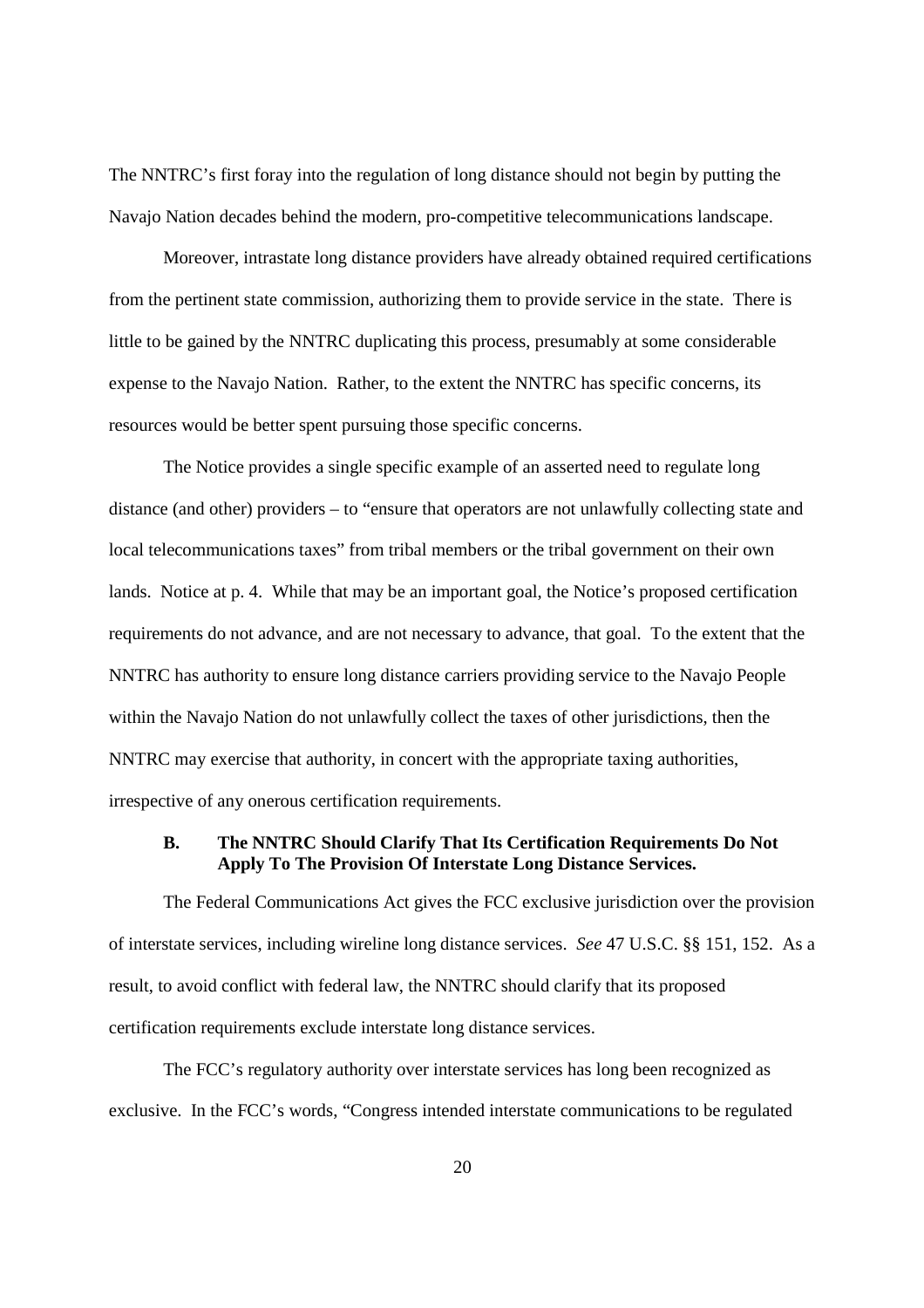The NNTRC's first foray into the regulation of long distance should not begin by putting the Navajo Nation decades behind the modern, pro-competitive telecommunications landscape.

Moreover, intrastate long distance providers have already obtained required certifications from the pertinent state commission, authorizing them to provide service in the state. There is little to be gained by the NNTRC duplicating this process, presumably at some considerable expense to the Navajo Nation. Rather, to the extent the NNTRC has specific concerns, its resources would be better spent pursuing those specific concerns.

The Notice provides a single specific example of an asserted need to regulate long distance (and other) providers – to "ensure that operators are not unlawfully collecting state and local telecommunications taxes" from tribal members or the tribal government on their own lands. Notice at p. 4. While that may be an important goal, the Notice's proposed certification requirements do not advance, and are not necessary to advance, that goal. To the extent that the NNTRC has authority to ensure long distance carriers providing service to the Navajo People within the Navajo Nation do not unlawfully collect the taxes of other jurisdictions, then the NNTRC may exercise that authority, in concert with the appropriate taxing authorities, irrespective of any onerous certification requirements.

# **B. The NNTRC Should Clarify That Its Certification Requirements Do Not Apply To The Provision Of Interstate Long Distance Services.**

The Federal Communications Act gives the FCC exclusive jurisdiction over the provision of interstate services, including wireline long distance services. *See* 47 U.S.C. §§ 151, 152. As a result, to avoid conflict with federal law, the NNTRC should clarify that its proposed certification requirements exclude interstate long distance services.

The FCC's regulatory authority over interstate services has long been recognized as exclusive. In the FCC's words, "Congress intended interstate communications to be regulated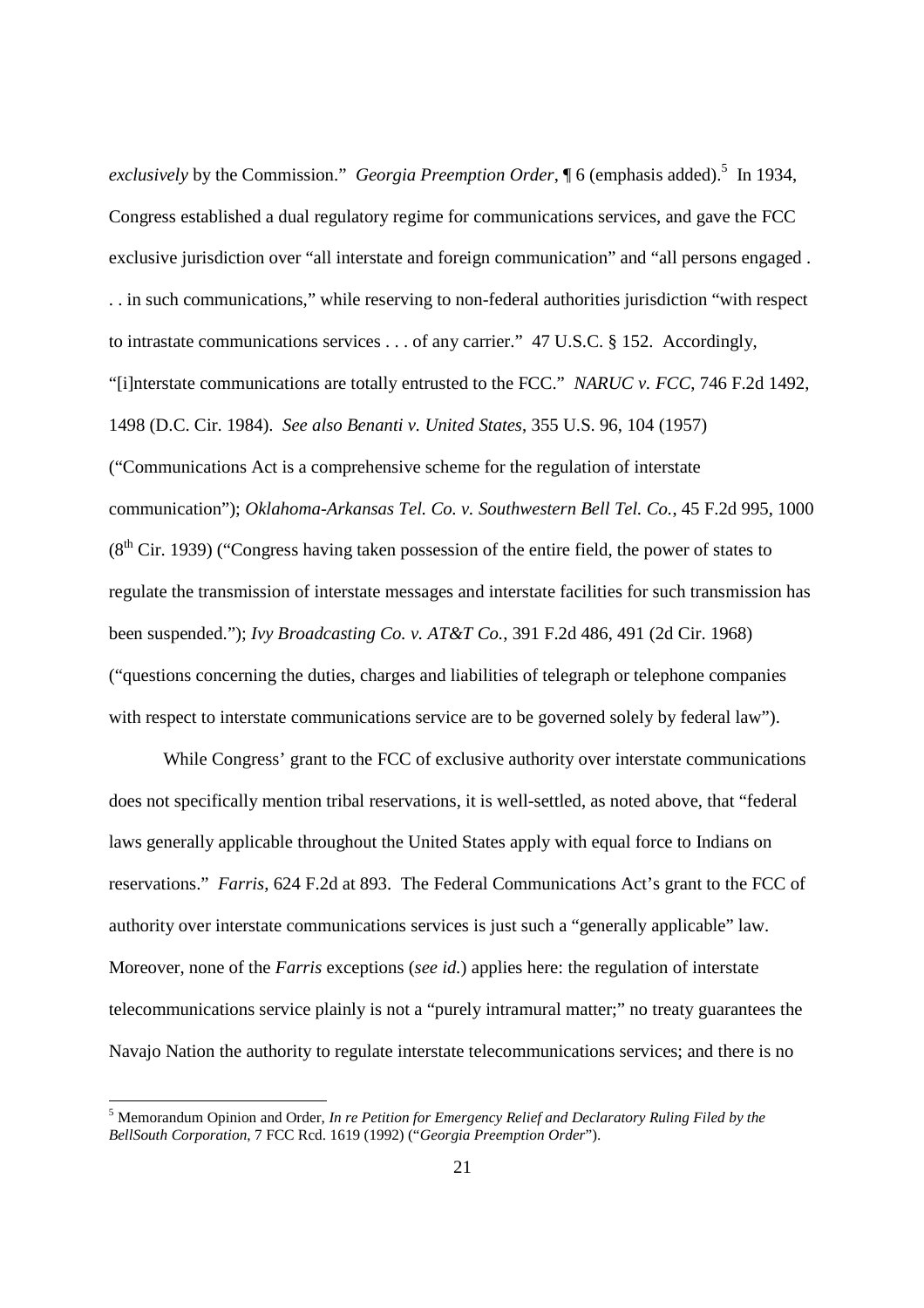exclusively by the Commission." *Georgia Preemption Order*, ¶ 6 (emphasis added).<sup>5</sup> In 1934, Congress established a dual regulatory regime for communications services, and gave the FCC exclusive jurisdiction over "all interstate and foreign communication" and "all persons engaged . . . in such communications," while reserving to non-federal authorities jurisdiction "with respect to intrastate communications services . . . of any carrier." 47 U.S.C. § 152. Accordingly, "[i]nterstate communications are totally entrusted to the FCC." *NARUC v. FCC*, 746 F.2d 1492, 1498 (D.C. Cir. 1984). *See also Benanti v. United States*, 355 U.S. 96, 104 (1957) ("Communications Act is a comprehensive scheme for the regulation of interstate communication"); *Oklahoma-Arkansas Tel. Co. v. Southwestern Bell Tel. Co.*, 45 F.2d 995, 1000  $(8<sup>th</sup> Cir. 1939)$  ("Congress having taken possession of the entire field, the power of states to regulate the transmission of interstate messages and interstate facilities for such transmission has been suspended."); *Ivy Broadcasting Co. v. AT&T Co.*, 391 F.2d 486, 491 (2d Cir. 1968) ("questions concerning the duties, charges and liabilities of telegraph or telephone companies with respect to interstate communications service are to be governed solely by federal law").

While Congress' grant to the FCC of exclusive authority over interstate communications does not specifically mention tribal reservations, it is well-settled, as noted above, that "federal laws generally applicable throughout the United States apply with equal force to Indians on reservations." *Farris*, 624 F.2d at 893. The Federal Communications Act's grant to the FCC of authority over interstate communications services is just such a "generally applicable" law. Moreover, none of the *Farris* exceptions (*see id.*) applies here: the regulation of interstate telecommunications service plainly is not a "purely intramural matter;" no treaty guarantees the Navajo Nation the authority to regulate interstate telecommunications services; and there is no

<sup>5</sup> Memorandum Opinion and Order, *In re Petition for Emergency Relief and Declaratory Ruling Filed by the BellSouth Corporation*, 7 FCC Rcd. 1619 (1992) ("*Georgia Preemption Order*").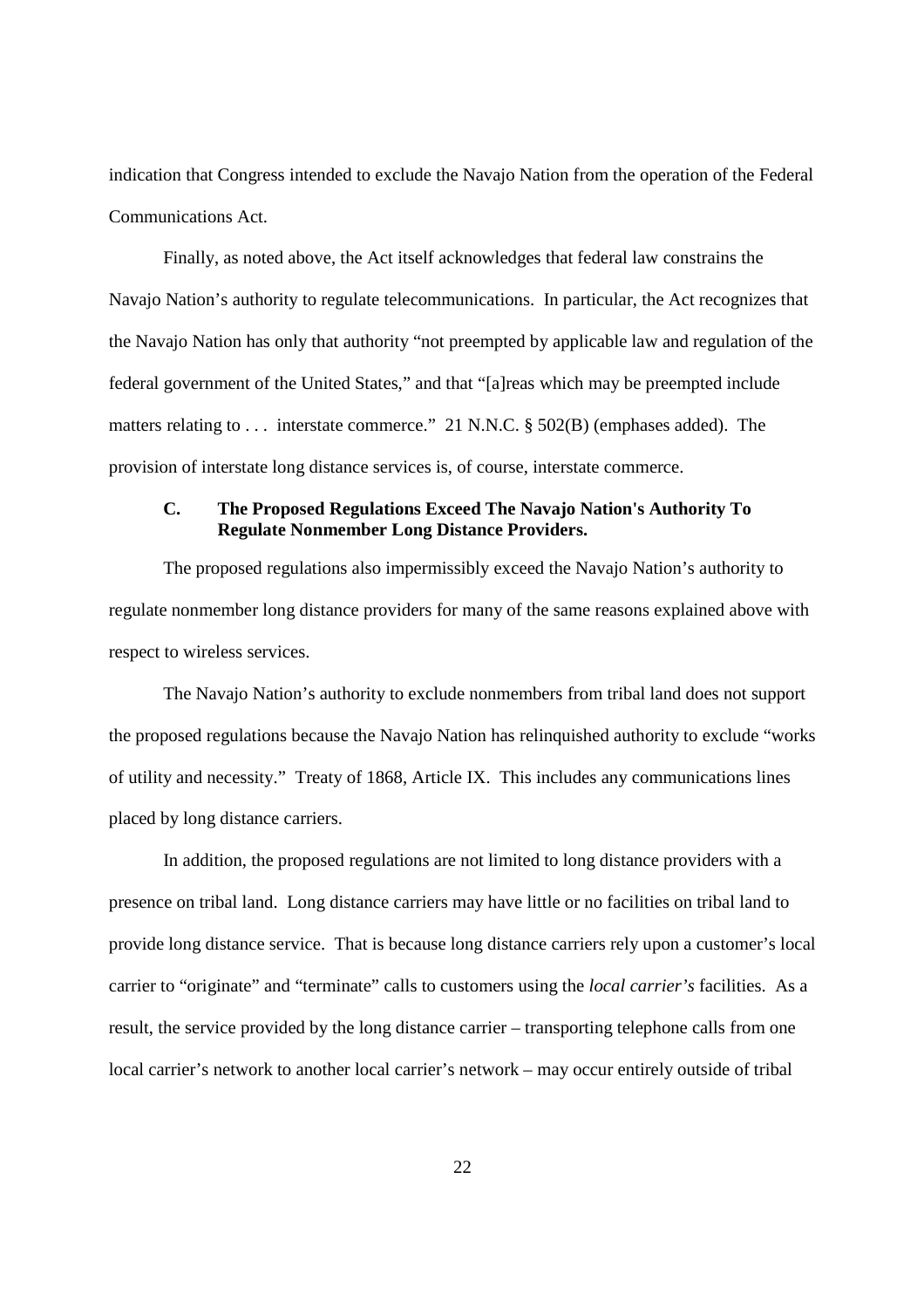indication that Congress intended to exclude the Navajo Nation from the operation of the Federal Communications Act.

Finally, as noted above, the Act itself acknowledges that federal law constrains the Navajo Nation's authority to regulate telecommunications. In particular, the Act recognizes that the Navajo Nation has only that authority "not preempted by applicable law and regulation of the federal government of the United States," and that "[a]reas which may be preempted include matters relating to . . . interstate commerce." 21 N.N.C. § 502(B) (emphases added). The provision of interstate long distance services is, of course, interstate commerce.

### **C. The Proposed Regulations Exceed The Navajo Nation's Authority To Regulate Nonmember Long Distance Providers.**

The proposed regulations also impermissibly exceed the Navajo Nation's authority to regulate nonmember long distance providers for many of the same reasons explained above with respect to wireless services.

The Navajo Nation's authority to exclude nonmembers from tribal land does not support the proposed regulations because the Navajo Nation has relinquished authority to exclude "works of utility and necessity." Treaty of 1868, Article IX. This includes any communications lines placed by long distance carriers.

In addition, the proposed regulations are not limited to long distance providers with a presence on tribal land. Long distance carriers may have little or no facilities on tribal land to provide long distance service. That is because long distance carriers rely upon a customer's local carrier to "originate" and "terminate" calls to customers using the *local carrier's* facilities. As a result, the service provided by the long distance carrier – transporting telephone calls from one local carrier's network to another local carrier's network – may occur entirely outside of tribal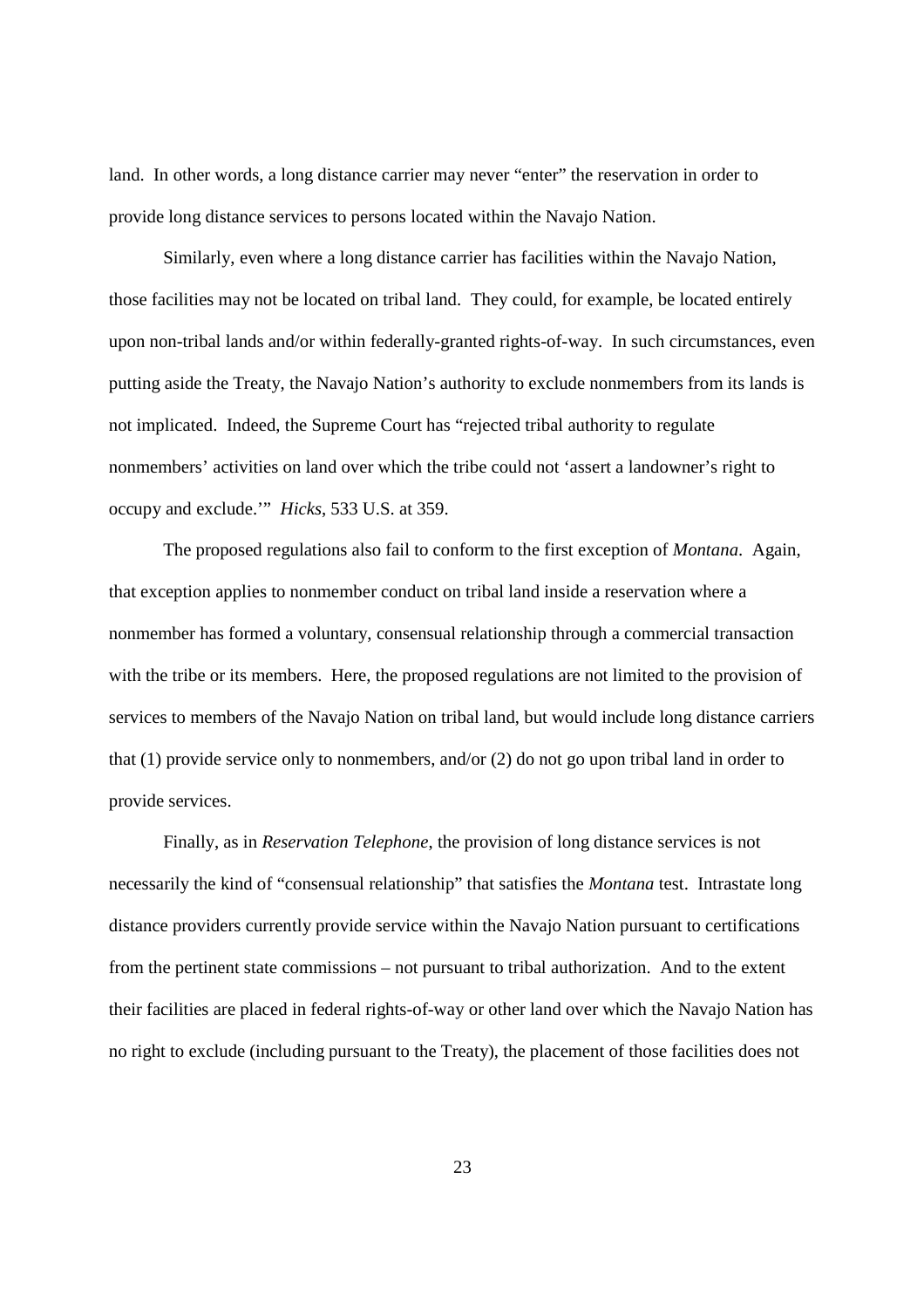land. In other words, a long distance carrier may never "enter" the reservation in order to provide long distance services to persons located within the Navajo Nation.

Similarly, even where a long distance carrier has facilities within the Navajo Nation, those facilities may not be located on tribal land. They could, for example, be located entirely upon non-tribal lands and/or within federally-granted rights-of-way. In such circumstances, even putting aside the Treaty, the Navajo Nation's authority to exclude nonmembers from its lands is not implicated. Indeed, the Supreme Court has "rejected tribal authority to regulate nonmembers' activities on land over which the tribe could not 'assert a landowner's right to occupy and exclude.'" *Hicks*, 533 U.S. at 359.

The proposed regulations also fail to conform to the first exception of *Montana*. Again, that exception applies to nonmember conduct on tribal land inside a reservation where a nonmember has formed a voluntary, consensual relationship through a commercial transaction with the tribe or its members. Here, the proposed regulations are not limited to the provision of services to members of the Navajo Nation on tribal land, but would include long distance carriers that (1) provide service only to nonmembers, and/or (2) do not go upon tribal land in order to provide services.

Finally, as in *Reservation Telephone*, the provision of long distance services is not necessarily the kind of "consensual relationship" that satisfies the *Montana* test. Intrastate long distance providers currently provide service within the Navajo Nation pursuant to certifications from the pertinent state commissions – not pursuant to tribal authorization. And to the extent their facilities are placed in federal rights-of-way or other land over which the Navajo Nation has no right to exclude (including pursuant to the Treaty), the placement of those facilities does not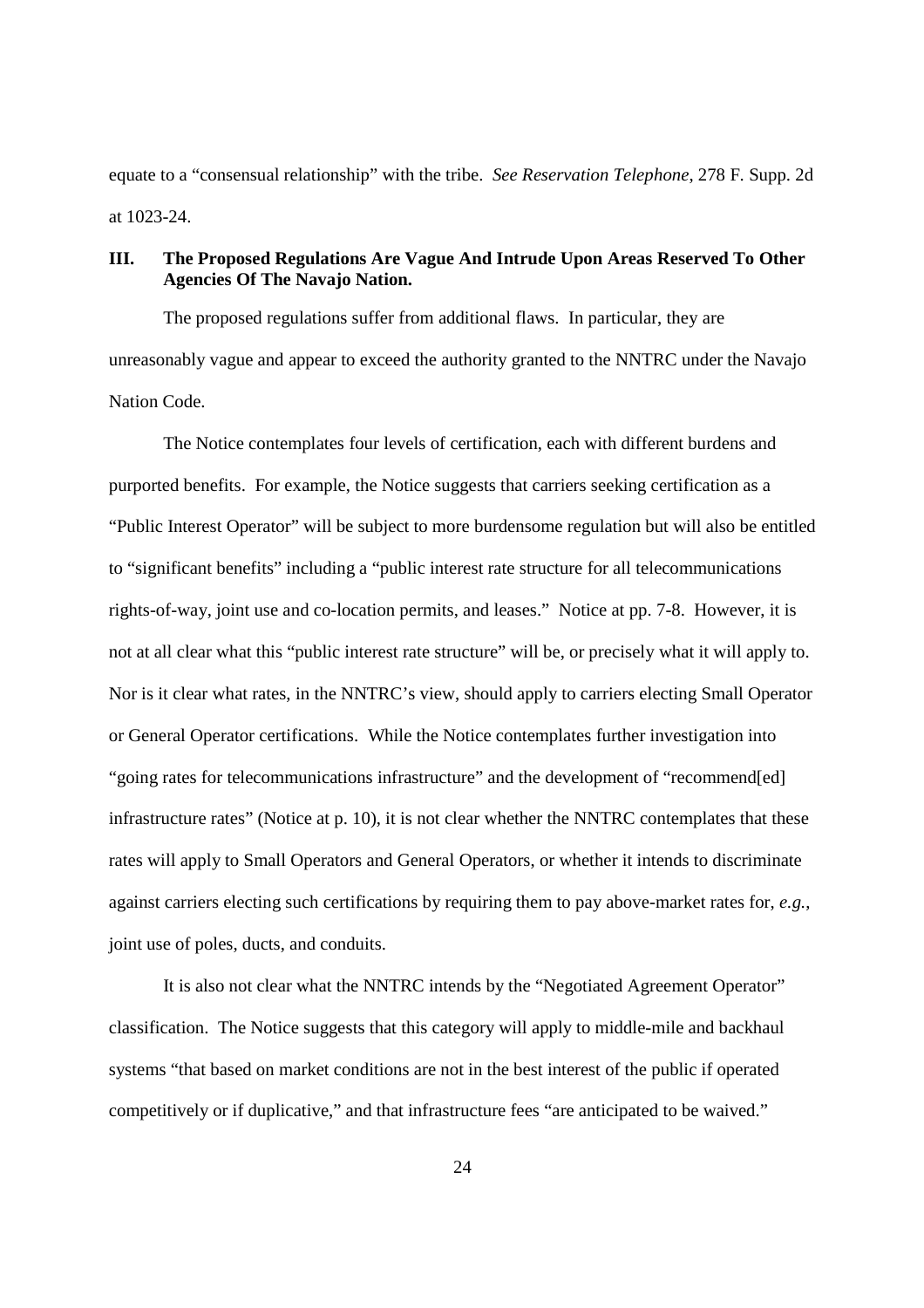equate to a "consensual relationship" with the tribe. *See Reservation Telephone*, 278 F. Supp. 2d at 1023-24.

## **III. The Proposed Regulations Are Vague And Intrude Upon Areas Reserved To Other Agencies Of The Navajo Nation.**

The proposed regulations suffer from additional flaws. In particular, they are unreasonably vague and appear to exceed the authority granted to the NNTRC under the Navajo Nation Code.

The Notice contemplates four levels of certification, each with different burdens and purported benefits. For example, the Notice suggests that carriers seeking certification as a "Public Interest Operator" will be subject to more burdensome regulation but will also be entitled to "significant benefits" including a "public interest rate structure for all telecommunications rights-of-way, joint use and co-location permits, and leases." Notice at pp. 7-8. However, it is not at all clear what this "public interest rate structure" will be, or precisely what it will apply to. Nor is it clear what rates, in the NNTRC's view, should apply to carriers electing Small Operator or General Operator certifications. While the Notice contemplates further investigation into "going rates for telecommunications infrastructure" and the development of "recommend[ed] infrastructure rates" (Notice at p. 10), it is not clear whether the NNTRC contemplates that these rates will apply to Small Operators and General Operators, or whether it intends to discriminate against carriers electing such certifications by requiring them to pay above-market rates for, *e.g.*, joint use of poles, ducts, and conduits.

It is also not clear what the NNTRC intends by the "Negotiated Agreement Operator" classification. The Notice suggests that this category will apply to middle-mile and backhaul systems "that based on market conditions are not in the best interest of the public if operated competitively or if duplicative," and that infrastructure fees "are anticipated to be waived."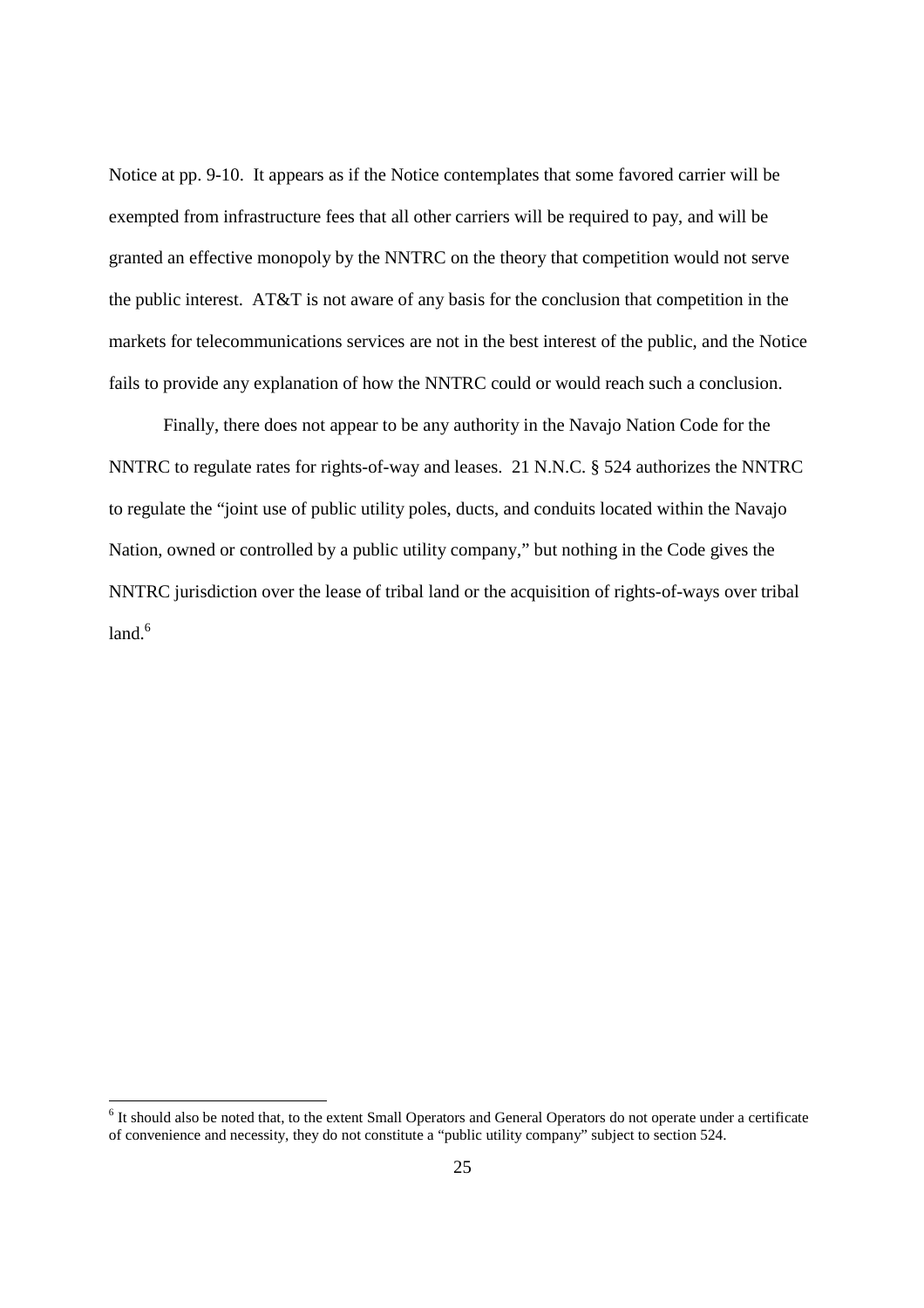Notice at pp. 9-10. It appears as if the Notice contemplates that some favored carrier will be exempted from infrastructure fees that all other carriers will be required to pay, and will be granted an effective monopoly by the NNTRC on the theory that competition would not serve the public interest. AT&T is not aware of any basis for the conclusion that competition in the markets for telecommunications services are not in the best interest of the public, and the Notice fails to provide any explanation of how the NNTRC could or would reach such a conclusion.

Finally, there does not appear to be any authority in the Navajo Nation Code for the NNTRC to regulate rates for rights-of-way and leases. 21 N.N.C. § 524 authorizes the NNTRC to regulate the "joint use of public utility poles, ducts, and conduits located within the Navajo Nation, owned or controlled by a public utility company," but nothing in the Code gives the NNTRC jurisdiction over the lease of tribal land or the acquisition of rights-of-ways over tribal land $6$ 

<sup>&</sup>lt;sup>6</sup> It should also be noted that, to the extent Small Operators and General Operators do not operate under a certificate of convenience and necessity, they do not constitute a "public utility company" subject to section 524.